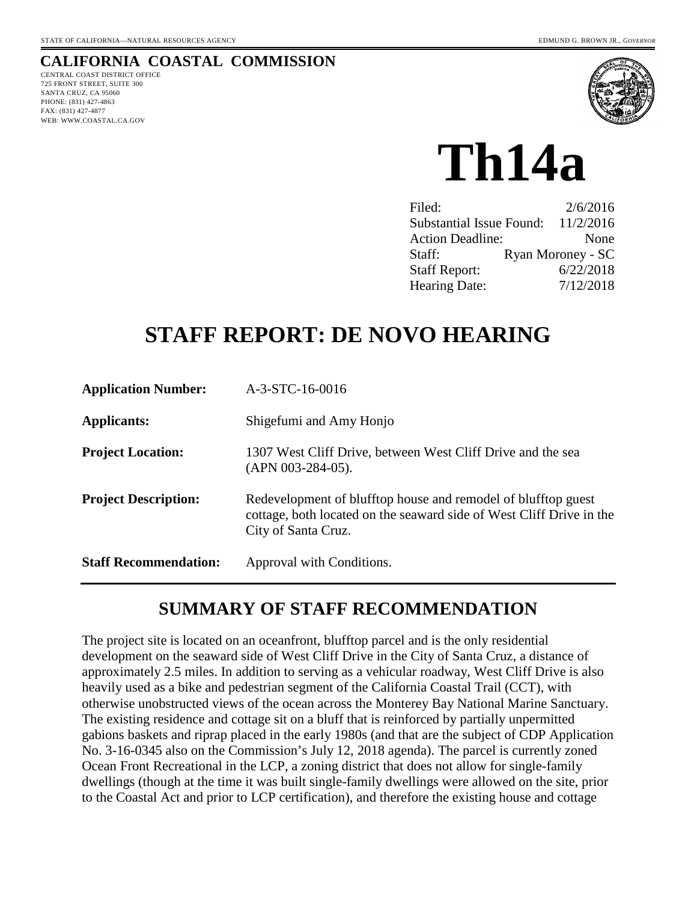# **CALIFORNIA COASTAL COMMISSION**

CENTRAL COAST DISTRICT OFFICE 725 FRONT STREET, SUITE 300 SANTA CRUZ, CA 95060 PHONE: (831) 427-4863 FAX: (831) 427-4877 WEB: WWW.COASTAL.CA.GOV



**Th14a** 

| Filed:                          | 2/6/2016          |
|---------------------------------|-------------------|
| <b>Substantial Issue Found:</b> | 11/2/2016         |
| <b>Action Deadline:</b>         | None              |
| Staff:                          | Ryan Moroney - SC |
| <b>Staff Report:</b>            | 6/22/2018         |
| <b>Hearing Date:</b>            | 7/12/2018         |

# **STAFF REPORT: DE NOVO HEARING**

| <b>Application Number:</b>   | A-3-STC-16-0016                                                                                                                                              |
|------------------------------|--------------------------------------------------------------------------------------------------------------------------------------------------------------|
| Applicants:                  | Shigefumi and Amy Honjo                                                                                                                                      |
| <b>Project Location:</b>     | 1307 West Cliff Drive, between West Cliff Drive and the sea<br>$(APN 003-284-05)$ .                                                                          |
| <b>Project Description:</b>  | Redevelopment of blufftop house and remodel of blufftop guest<br>cottage, both located on the seaward side of West Cliff Drive in the<br>City of Santa Cruz. |
| <b>Staff Recommendation:</b> | Approval with Conditions.                                                                                                                                    |

# **SUMMARY OF STAFF RECOMMENDATION**

The project site is located on an oceanfront, blufftop parcel and is the only residential development on the seaward side of West Cliff Drive in the City of Santa Cruz, a distance of approximately 2.5 miles. In addition to serving as a vehicular roadway, West Cliff Drive is also heavily used as a bike and pedestrian segment of the California Coastal Trail (CCT), with otherwise unobstructed views of the ocean across the Monterey Bay National Marine Sanctuary. The existing residence and cottage sit on a bluff that is reinforced by partially unpermitted gabions baskets and riprap placed in the early 1980s (and that are the subject of CDP Application No. 3-16-0345 also on the Commission's July 12, 2018 agenda). The parcel is currently zoned Ocean Front Recreational in the LCP, a zoning district that does not allow for single-family dwellings (though at the time it was built single-family dwellings were allowed on the site, prior to the Coastal Act and prior to LCP certification), and therefore the existing house and cottage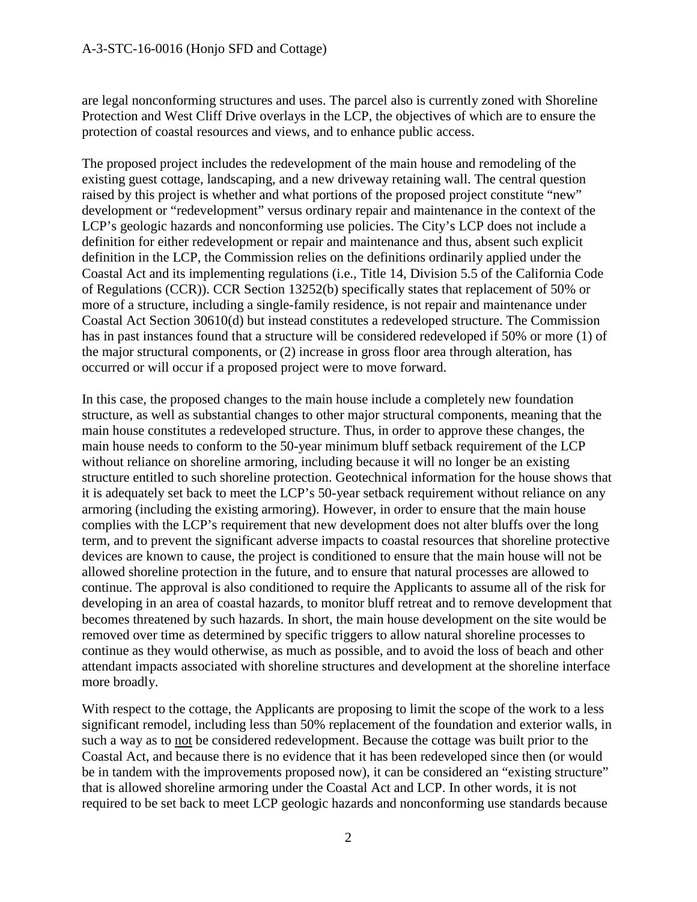are legal nonconforming structures and uses. The parcel also is currently zoned with Shoreline Protection and West Cliff Drive overlays in the LCP, the objectives of which are to ensure the protection of coastal resources and views, and to enhance public access.

The proposed project includes the redevelopment of the main house and remodeling of the existing guest cottage, landscaping, and a new driveway retaining wall. The central question raised by this project is whether and what portions of the proposed project constitute "new" development or "redevelopment" versus ordinary repair and maintenance in the context of the LCP's geologic hazards and nonconforming use policies. The City's LCP does not include a definition for either redevelopment or repair and maintenance and thus, absent such explicit definition in the LCP, the Commission relies on the definitions ordinarily applied under the Coastal Act and its implementing regulations (i.e., Title 14, Division 5.5 of the California Code of Regulations (CCR)). CCR Section 13252(b) specifically states that replacement of 50% or more of a structure, including a single-family residence, is not repair and maintenance under Coastal Act Section 30610(d) but instead constitutes a redeveloped structure. The Commission has in past instances found that a structure will be considered redeveloped if 50% or more (1) of the major structural components, or (2) increase in gross floor area through alteration, has occurred or will occur if a proposed project were to move forward.

In this case, the proposed changes to the main house include a completely new foundation structure, as well as substantial changes to other major structural components, meaning that the main house constitutes a redeveloped structure. Thus, in order to approve these changes, the main house needs to conform to the 50-year minimum bluff setback requirement of the LCP without reliance on shoreline armoring, including because it will no longer be an existing structure entitled to such shoreline protection. Geotechnical information for the house shows that it is adequately set back to meet the LCP's 50-year setback requirement without reliance on any armoring (including the existing armoring). However, in order to ensure that the main house complies with the LCP's requirement that new development does not alter bluffs over the long term, and to prevent the significant adverse impacts to coastal resources that shoreline protective devices are known to cause, the project is conditioned to ensure that the main house will not be allowed shoreline protection in the future, and to ensure that natural processes are allowed to continue. The approval is also conditioned to require the Applicants to assume all of the risk for developing in an area of coastal hazards, to monitor bluff retreat and to remove development that becomes threatened by such hazards. In short, the main house development on the site would be removed over time as determined by specific triggers to allow natural shoreline processes to continue as they would otherwise, as much as possible, and to avoid the loss of beach and other attendant impacts associated with shoreline structures and development at the shoreline interface more broadly.

With respect to the cottage, the Applicants are proposing to limit the scope of the work to a less significant remodel, including less than 50% replacement of the foundation and exterior walls, in such a way as to not be considered redevelopment. Because the cottage was built prior to the Coastal Act, and because there is no evidence that it has been redeveloped since then (or would be in tandem with the improvements proposed now), it can be considered an "existing structure" that is allowed shoreline armoring under the Coastal Act and LCP. In other words, it is not required to be set back to meet LCP geologic hazards and nonconforming use standards because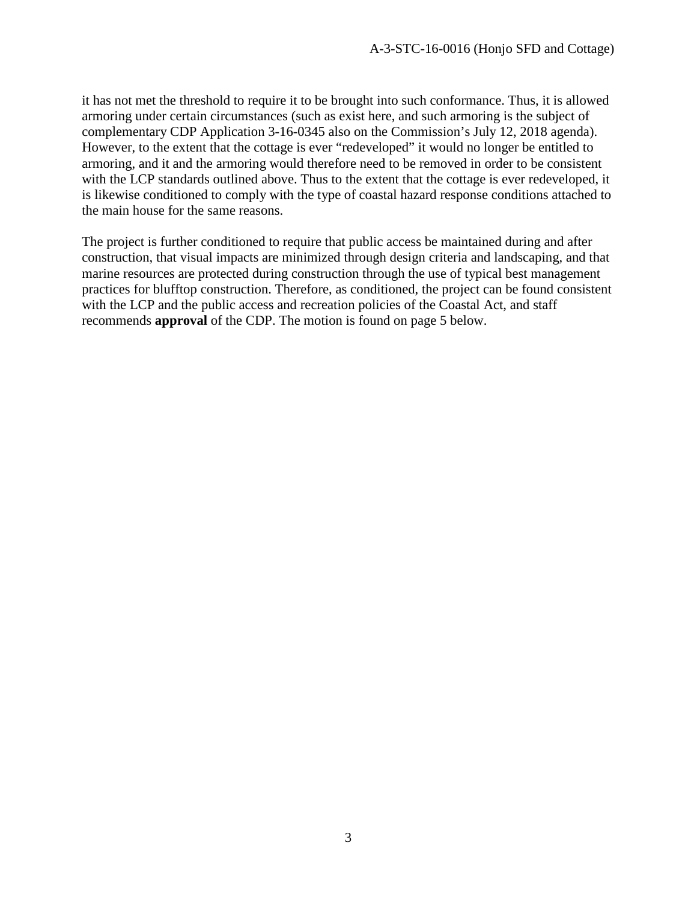it has not met the threshold to require it to be brought into such conformance. Thus, it is allowed armoring under certain circumstances (such as exist here, and such armoring is the subject of complementary CDP Application 3-16-0345 also on the Commission's July 12, 2018 agenda). However, to the extent that the cottage is ever "redeveloped" it would no longer be entitled to armoring, and it and the armoring would therefore need to be removed in order to be consistent with the LCP standards outlined above. Thus to the extent that the cottage is ever redeveloped, it is likewise conditioned to comply with the type of coastal hazard response conditions attached to the main house for the same reasons.

The project is further conditioned to require that public access be maintained during and after construction, that visual impacts are minimized through design criteria and landscaping, and that marine resources are protected during construction through the use of typical best management practices for blufftop construction. Therefore, as conditioned, the project can be found consistent with the LCP and the public access and recreation policies of the Coastal Act, and staff recommends **approval** of the CDP. The motion is found on page 5 below.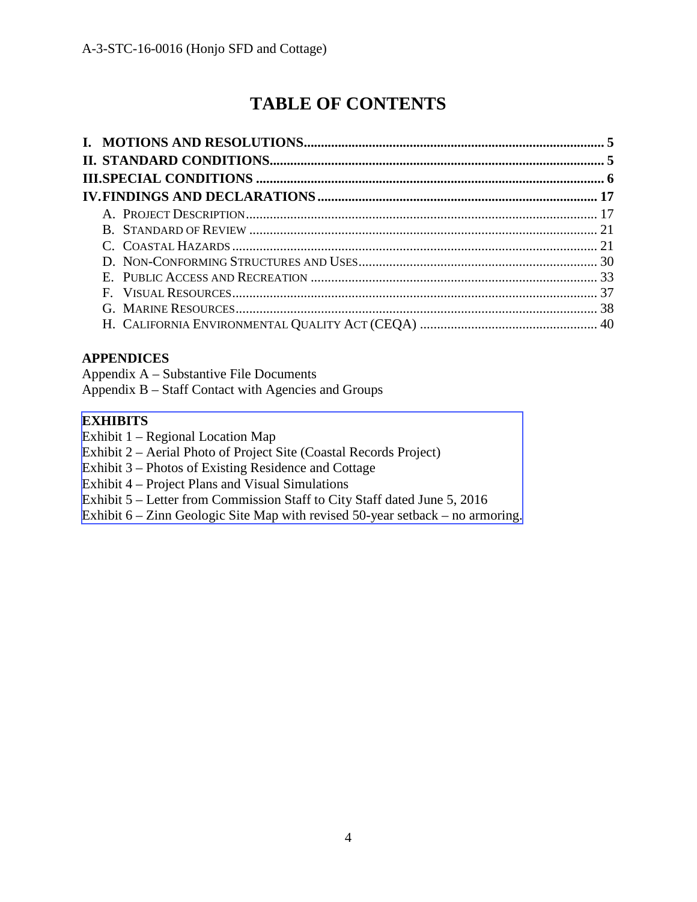# **TABLE OF CONTENTS**

## **APPENDICES**

Appendix A – Substantive File Documents

Appendix B – Staff Contact with Agencies and Groups

## **EXHIBITS**

Exhibit 1 – Regional Location Map

- Exhibit 2 Aerial Photo of Project Site (Coastal Records Project)
- Exhibit 3 Photos of Existing Residence and Cottage
- Exhibit 4 Project Plans and Visual Simulations
- Exhibit 5 Letter from Commission Staff to City Staff dated June 5, 2016
- [Exhibit 6 Zinn Geologic Site Map with revised 50-year setback no armoring.](https://documents.coastal.ca.gov/reports/2018/8/Th14a/Th14a-7-2018-exhibits.pdf)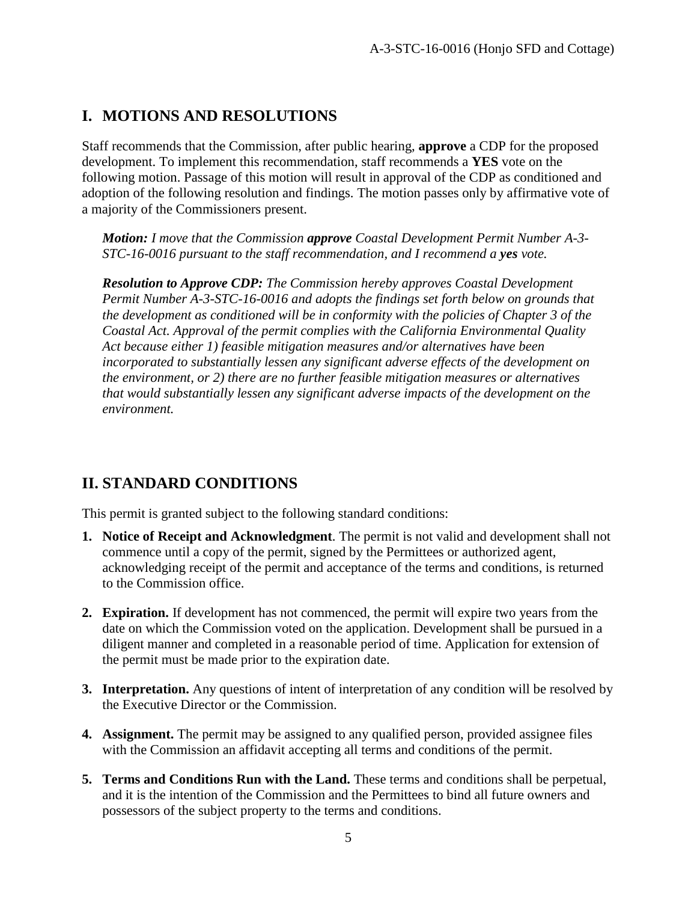# **I. MOTIONS AND RESOLUTIONS**

Staff recommends that the Commission, after public hearing, **approve** a CDP for the proposed development. To implement this recommendation, staff recommends a **YES** vote on the following motion. Passage of this motion will result in approval of the CDP as conditioned and adoption of the following resolution and findings. The motion passes only by affirmative vote of a majority of the Commissioners present.

*Motion: I move that the Commission approve Coastal Development Permit Number A-3- STC-16-0016 pursuant to the staff recommendation, and I recommend a yes vote.* 

*Resolution to Approve CDP: The Commission hereby approves Coastal Development Permit Number A-3-STC-16-0016 and adopts the findings set forth below on grounds that the development as conditioned will be in conformity with the policies of Chapter 3 of the Coastal Act. Approval of the permit complies with the California Environmental Quality Act because either 1) feasible mitigation measures and/or alternatives have been incorporated to substantially lessen any significant adverse effects of the development on the environment, or 2) there are no further feasible mitigation measures or alternatives that would substantially lessen any significant adverse impacts of the development on the environment.* 

# **II. STANDARD CONDITIONS**

This permit is granted subject to the following standard conditions:

- **1. Notice of Receipt and Acknowledgment**. The permit is not valid and development shall not commence until a copy of the permit, signed by the Permittees or authorized agent, acknowledging receipt of the permit and acceptance of the terms and conditions, is returned to the Commission office.
- **2. Expiration.** If development has not commenced, the permit will expire two years from the date on which the Commission voted on the application. Development shall be pursued in a diligent manner and completed in a reasonable period of time. Application for extension of the permit must be made prior to the expiration date.
- **3. Interpretation.** Any questions of intent of interpretation of any condition will be resolved by the Executive Director or the Commission.
- **4. Assignment.** The permit may be assigned to any qualified person, provided assignee files with the Commission an affidavit accepting all terms and conditions of the permit.
- **5. Terms and Conditions Run with the Land.** These terms and conditions shall be perpetual, and it is the intention of the Commission and the Permittees to bind all future owners and possessors of the subject property to the terms and conditions.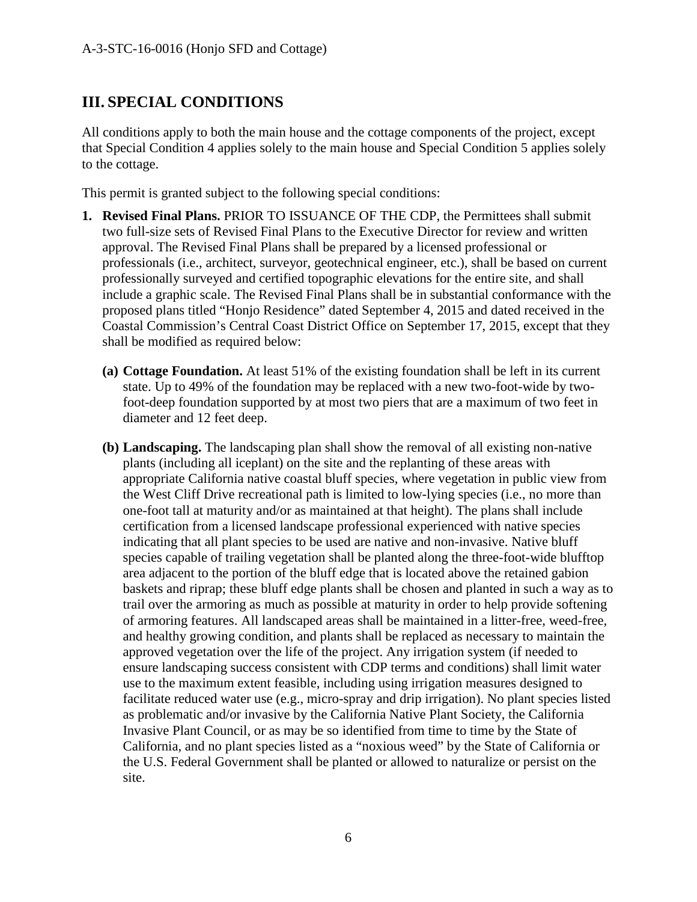# **III. SPECIAL CONDITIONS**

All conditions apply to both the main house and the cottage components of the project, except that Special Condition 4 applies solely to the main house and Special Condition 5 applies solely to the cottage.

This permit is granted subject to the following special conditions:

- **1. Revised Final Plans.** PRIOR TO ISSUANCE OF THE CDP, the Permittees shall submit two full-size sets of Revised Final Plans to the Executive Director for review and written approval. The Revised Final Plans shall be prepared by a licensed professional or professionals (i.e., architect, surveyor, geotechnical engineer, etc.), shall be based on current professionally surveyed and certified topographic elevations for the entire site, and shall include a graphic scale. The Revised Final Plans shall be in substantial conformance with the proposed plans titled "Honjo Residence" dated September 4, 2015 and dated received in the Coastal Commission's Central Coast District Office on September 17, 2015, except that they shall be modified as required below:
	- **(a) Cottage Foundation.** At least 51% of the existing foundation shall be left in its current state. Up to 49% of the foundation may be replaced with a new two-foot-wide by twofoot-deep foundation supported by at most two piers that are a maximum of two feet in diameter and 12 feet deep.
	- **(b) Landscaping.** The landscaping plan shall show the removal of all existing non-native plants (including all iceplant) on the site and the replanting of these areas with appropriate California native coastal bluff species, where vegetation in public view from the West Cliff Drive recreational path is limited to low-lying species (i.e., no more than one-foot tall at maturity and/or as maintained at that height). The plans shall include certification from a licensed landscape professional experienced with native species indicating that all plant species to be used are native and non-invasive. Native bluff species capable of trailing vegetation shall be planted along the three-foot-wide blufftop area adjacent to the portion of the bluff edge that is located above the retained gabion baskets and riprap; these bluff edge plants shall be chosen and planted in such a way as to trail over the armoring as much as possible at maturity in order to help provide softening of armoring features. All landscaped areas shall be maintained in a litter-free, weed-free, and healthy growing condition, and plants shall be replaced as necessary to maintain the approved vegetation over the life of the project. Any irrigation system (if needed to ensure landscaping success consistent with CDP terms and conditions) shall limit water use to the maximum extent feasible, including using irrigation measures designed to facilitate reduced water use (e.g., micro-spray and drip irrigation). No plant species listed as problematic and/or invasive by the California Native Plant Society, the California Invasive Plant Council, or as may be so identified from time to time by the State of California, and no plant species listed as a "noxious weed" by the State of California or the U.S. Federal Government shall be planted or allowed to naturalize or persist on the site.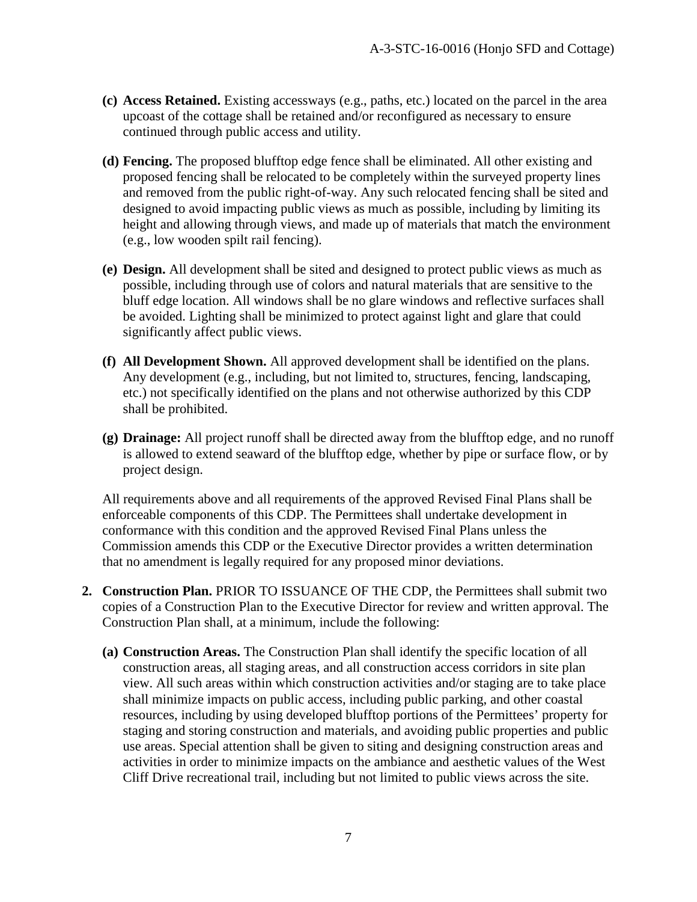- **(c) Access Retained.** Existing accessways (e.g., paths, etc.) located on the parcel in the area upcoast of the cottage shall be retained and/or reconfigured as necessary to ensure continued through public access and utility.
- **(d) Fencing.** The proposed blufftop edge fence shall be eliminated. All other existing and proposed fencing shall be relocated to be completely within the surveyed property lines and removed from the public right-of-way. Any such relocated fencing shall be sited and designed to avoid impacting public views as much as possible, including by limiting its height and allowing through views, and made up of materials that match the environment (e.g., low wooden spilt rail fencing).
- **(e) Design.** All development shall be sited and designed to protect public views as much as possible, including through use of colors and natural materials that are sensitive to the bluff edge location. All windows shall be no glare windows and reflective surfaces shall be avoided. Lighting shall be minimized to protect against light and glare that could significantly affect public views.
- **(f) All Development Shown.** All approved development shall be identified on the plans. Any development (e.g., including, but not limited to, structures, fencing, landscaping, etc.) not specifically identified on the plans and not otherwise authorized by this CDP shall be prohibited.
- **(g) Drainage:** All project runoff shall be directed away from the blufftop edge, and no runoff is allowed to extend seaward of the blufftop edge, whether by pipe or surface flow, or by project design.

All requirements above and all requirements of the approved Revised Final Plans shall be enforceable components of this CDP. The Permittees shall undertake development in conformance with this condition and the approved Revised Final Plans unless the Commission amends this CDP or the Executive Director provides a written determination that no amendment is legally required for any proposed minor deviations.

- **2. Construction Plan.** PRIOR TO ISSUANCE OF THE CDP, the Permittees shall submit two copies of a Construction Plan to the Executive Director for review and written approval. The Construction Plan shall, at a minimum, include the following:
	- **(a) Construction Areas.** The Construction Plan shall identify the specific location of all construction areas, all staging areas, and all construction access corridors in site plan view. All such areas within which construction activities and/or staging are to take place shall minimize impacts on public access, including public parking, and other coastal resources, including by using developed blufftop portions of the Permittees' property for staging and storing construction and materials, and avoiding public properties and public use areas. Special attention shall be given to siting and designing construction areas and activities in order to minimize impacts on the ambiance and aesthetic values of the West Cliff Drive recreational trail, including but not limited to public views across the site.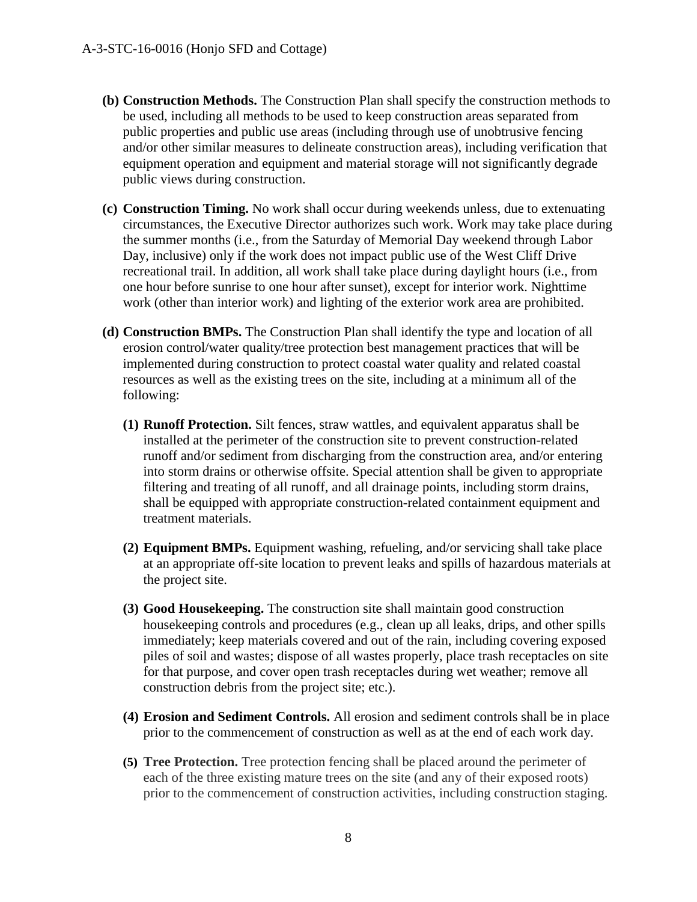- **(b) Construction Methods.** The Construction Plan shall specify the construction methods to be used, including all methods to be used to keep construction areas separated from public properties and public use areas (including through use of unobtrusive fencing and/or other similar measures to delineate construction areas), including verification that equipment operation and equipment and material storage will not significantly degrade public views during construction.
- **(c) Construction Timing.** No work shall occur during weekends unless, due to extenuating circumstances, the Executive Director authorizes such work. Work may take place during the summer months (i.e., from the Saturday of Memorial Day weekend through Labor Day, inclusive) only if the work does not impact public use of the West Cliff Drive recreational trail. In addition, all work shall take place during daylight hours (i.e., from one hour before sunrise to one hour after sunset), except for interior work. Nighttime work (other than interior work) and lighting of the exterior work area are prohibited.
- **(d) Construction BMPs.** The Construction Plan shall identify the type and location of all erosion control/water quality/tree protection best management practices that will be implemented during construction to protect coastal water quality and related coastal resources as well as the existing trees on the site, including at a minimum all of the following:
	- **(1) Runoff Protection.** Silt fences, straw wattles, and equivalent apparatus shall be installed at the perimeter of the construction site to prevent construction-related runoff and/or sediment from discharging from the construction area, and/or entering into storm drains or otherwise offsite. Special attention shall be given to appropriate filtering and treating of all runoff, and all drainage points, including storm drains, shall be equipped with appropriate construction-related containment equipment and treatment materials.
	- **(2) Equipment BMPs.** Equipment washing, refueling, and/or servicing shall take place at an appropriate off-site location to prevent leaks and spills of hazardous materials at the project site.
	- **(3) Good Housekeeping.** The construction site shall maintain good construction housekeeping controls and procedures (e.g., clean up all leaks, drips, and other spills immediately; keep materials covered and out of the rain, including covering exposed piles of soil and wastes; dispose of all wastes properly, place trash receptacles on site for that purpose, and cover open trash receptacles during wet weather; remove all construction debris from the project site; etc.).
	- **(4) Erosion and Sediment Controls.** All erosion and sediment controls shall be in place prior to the commencement of construction as well as at the end of each work day.
	- **(5) Tree Protection.** Tree protection fencing shall be placed around the perimeter of each of the three existing mature trees on the site (and any of their exposed roots) prior to the commencement of construction activities, including construction staging.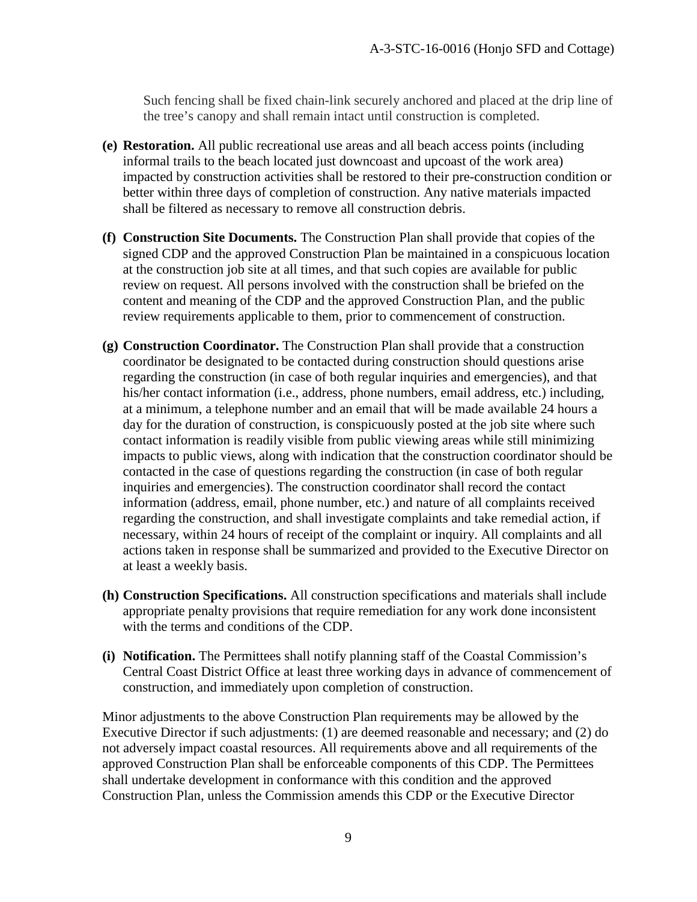Such fencing shall be fixed chain-link securely anchored and placed at the drip line of the tree's canopy and shall remain intact until construction is completed.

- **(e) Restoration.** All public recreational use areas and all beach access points (including informal trails to the beach located just downcoast and upcoast of the work area) impacted by construction activities shall be restored to their pre-construction condition or better within three days of completion of construction. Any native materials impacted shall be filtered as necessary to remove all construction debris.
- **(f) Construction Site Documents.** The Construction Plan shall provide that copies of the signed CDP and the approved Construction Plan be maintained in a conspicuous location at the construction job site at all times, and that such copies are available for public review on request. All persons involved with the construction shall be briefed on the content and meaning of the CDP and the approved Construction Plan, and the public review requirements applicable to them, prior to commencement of construction.
- **(g) Construction Coordinator.** The Construction Plan shall provide that a construction coordinator be designated to be contacted during construction should questions arise regarding the construction (in case of both regular inquiries and emergencies), and that his/her contact information (i.e., address, phone numbers, email address, etc.) including, at a minimum, a telephone number and an email that will be made available 24 hours a day for the duration of construction, is conspicuously posted at the job site where such contact information is readily visible from public viewing areas while still minimizing impacts to public views, along with indication that the construction coordinator should be contacted in the case of questions regarding the construction (in case of both regular inquiries and emergencies). The construction coordinator shall record the contact information (address, email, phone number, etc.) and nature of all complaints received regarding the construction, and shall investigate complaints and take remedial action, if necessary, within 24 hours of receipt of the complaint or inquiry. All complaints and all actions taken in response shall be summarized and provided to the Executive Director on at least a weekly basis.
- **(h) Construction Specifications.** All construction specifications and materials shall include appropriate penalty provisions that require remediation for any work done inconsistent with the terms and conditions of the CDP.
- **(i) Notification.** The Permittees shall notify planning staff of the Coastal Commission's Central Coast District Office at least three working days in advance of commencement of construction, and immediately upon completion of construction.

Minor adjustments to the above Construction Plan requirements may be allowed by the Executive Director if such adjustments: (1) are deemed reasonable and necessary; and (2) do not adversely impact coastal resources. All requirements above and all requirements of the approved Construction Plan shall be enforceable components of this CDP. The Permittees shall undertake development in conformance with this condition and the approved Construction Plan, unless the Commission amends this CDP or the Executive Director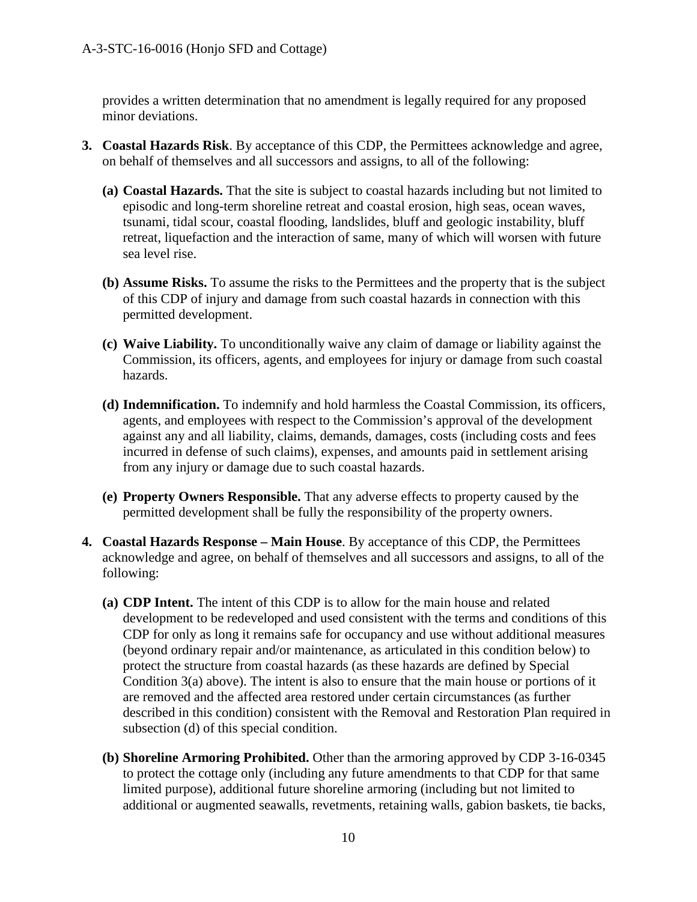provides a written determination that no amendment is legally required for any proposed minor deviations.

- **3. Coastal Hazards Risk**. By acceptance of this CDP, the Permittees acknowledge and agree, on behalf of themselves and all successors and assigns, to all of the following:
	- **(a) Coastal Hazards.** That the site is subject to coastal hazards including but not limited to episodic and long-term shoreline retreat and coastal erosion, high seas, ocean waves, tsunami, tidal scour, coastal flooding, landslides, bluff and geologic instability, bluff retreat, liquefaction and the interaction of same, many of which will worsen with future sea level rise.
	- **(b) Assume Risks.** To assume the risks to the Permittees and the property that is the subject of this CDP of injury and damage from such coastal hazards in connection with this permitted development.
	- **(c) Waive Liability.** To unconditionally waive any claim of damage or liability against the Commission, its officers, agents, and employees for injury or damage from such coastal hazards.
	- **(d) Indemnification.** To indemnify and hold harmless the Coastal Commission, its officers, agents, and employees with respect to the Commission's approval of the development against any and all liability, claims, demands, damages, costs (including costs and fees incurred in defense of such claims), expenses, and amounts paid in settlement arising from any injury or damage due to such coastal hazards.
	- **(e) Property Owners Responsible.** That any adverse effects to property caused by the permitted development shall be fully the responsibility of the property owners.
- **4. Coastal Hazards Response Main House**. By acceptance of this CDP, the Permittees acknowledge and agree, on behalf of themselves and all successors and assigns, to all of the following:
	- **(a) CDP Intent.** The intent of this CDP is to allow for the main house and related development to be redeveloped and used consistent with the terms and conditions of this CDP for only as long it remains safe for occupancy and use without additional measures (beyond ordinary repair and/or maintenance, as articulated in this condition below) to protect the structure from coastal hazards (as these hazards are defined by Special Condition 3(a) above). The intent is also to ensure that the main house or portions of it are removed and the affected area restored under certain circumstances (as further described in this condition) consistent with the Removal and Restoration Plan required in subsection (d) of this special condition.
	- **(b) Shoreline Armoring Prohibited.** Other than the armoring approved by CDP 3-16-0345 to protect the cottage only (including any future amendments to that CDP for that same limited purpose), additional future shoreline armoring (including but not limited to additional or augmented seawalls, revetments, retaining walls, gabion baskets, tie backs,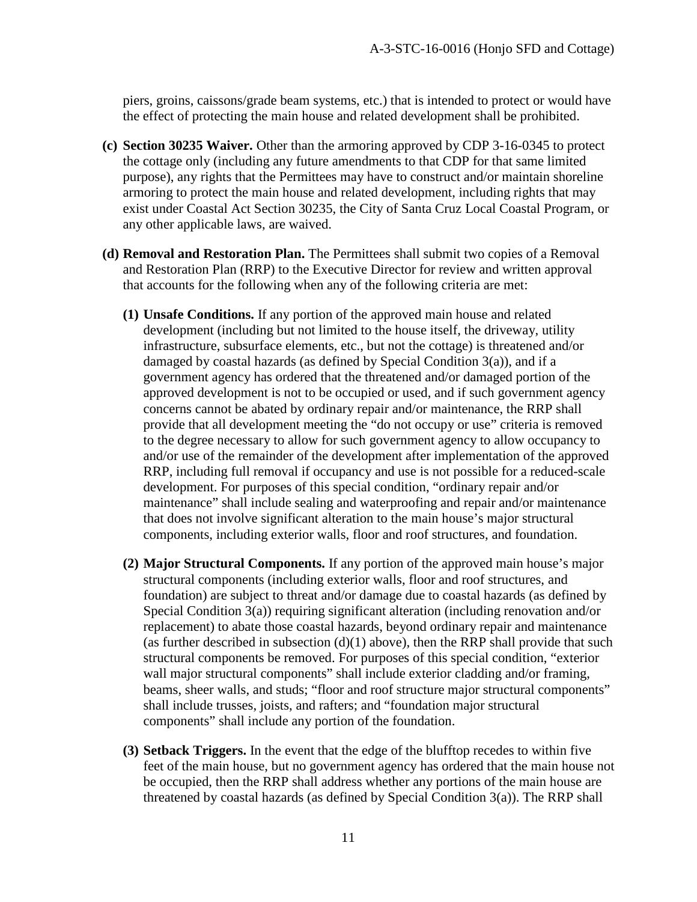piers, groins, caissons/grade beam systems, etc.) that is intended to protect or would have the effect of protecting the main house and related development shall be prohibited.

- **(c) Section 30235 Waiver.** Other than the armoring approved by CDP 3-16-0345 to protect the cottage only (including any future amendments to that CDP for that same limited purpose), any rights that the Permittees may have to construct and/or maintain shoreline armoring to protect the main house and related development, including rights that may exist under Coastal Act Section 30235, the City of Santa Cruz Local Coastal Program, or any other applicable laws, are waived.
- **(d) Removal and Restoration Plan.** The Permittees shall submit two copies of a Removal and Restoration Plan (RRP) to the Executive Director for review and written approval that accounts for the following when any of the following criteria are met:
	- **(1) Unsafe Conditions.** If any portion of the approved main house and related development (including but not limited to the house itself, the driveway, utility infrastructure, subsurface elements, etc., but not the cottage) is threatened and/or damaged by coastal hazards (as defined by Special Condition 3(a)), and if a government agency has ordered that the threatened and/or damaged portion of the approved development is not to be occupied or used, and if such government agency concerns cannot be abated by ordinary repair and/or maintenance, the RRP shall provide that all development meeting the "do not occupy or use" criteria is removed to the degree necessary to allow for such government agency to allow occupancy to and/or use of the remainder of the development after implementation of the approved RRP, including full removal if occupancy and use is not possible for a reduced-scale development. For purposes of this special condition, "ordinary repair and/or maintenance" shall include sealing and waterproofing and repair and/or maintenance that does not involve significant alteration to the main house's major structural components, including exterior walls, floor and roof structures, and foundation.
	- **(2) Major Structural Components.** If any portion of the approved main house's major structural components (including exterior walls, floor and roof structures, and foundation) are subject to threat and/or damage due to coastal hazards (as defined by Special Condition 3(a)) requiring significant alteration (including renovation and/or replacement) to abate those coastal hazards, beyond ordinary repair and maintenance (as further described in subsection  $(d)(1)$  above), then the RRP shall provide that such structural components be removed. For purposes of this special condition, "exterior wall major structural components" shall include exterior cladding and/or framing, beams, sheer walls, and studs; "floor and roof structure major structural components" shall include trusses, joists, and rafters; and "foundation major structural components" shall include any portion of the foundation.
	- **(3) Setback Triggers.** In the event that the edge of the blufftop recedes to within five feet of the main house, but no government agency has ordered that the main house not be occupied, then the RRP shall address whether any portions of the main house are threatened by coastal hazards (as defined by Special Condition 3(a)). The RRP shall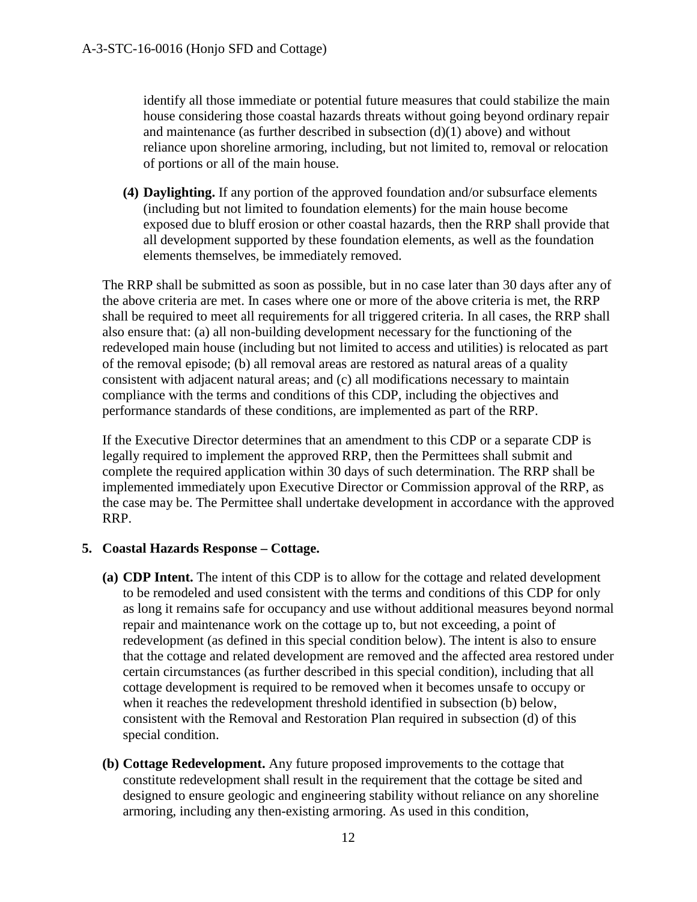identify all those immediate or potential future measures that could stabilize the main house considering those coastal hazards threats without going beyond ordinary repair and maintenance (as further described in subsection  $(d)(1)$  above) and without reliance upon shoreline armoring, including, but not limited to, removal or relocation of portions or all of the main house.

**(4) Daylighting.** If any portion of the approved foundation and/or subsurface elements (including but not limited to foundation elements) for the main house become exposed due to bluff erosion or other coastal hazards, then the RRP shall provide that all development supported by these foundation elements, as well as the foundation elements themselves, be immediately removed.

The RRP shall be submitted as soon as possible, but in no case later than 30 days after any of the above criteria are met. In cases where one or more of the above criteria is met, the RRP shall be required to meet all requirements for all triggered criteria. In all cases, the RRP shall also ensure that: (a) all non-building development necessary for the functioning of the redeveloped main house (including but not limited to access and utilities) is relocated as part of the removal episode; (b) all removal areas are restored as natural areas of a quality consistent with adjacent natural areas; and (c) all modifications necessary to maintain compliance with the terms and conditions of this CDP, including the objectives and performance standards of these conditions, are implemented as part of the RRP.

If the Executive Director determines that an amendment to this CDP or a separate CDP is legally required to implement the approved RRP, then the Permittees shall submit and complete the required application within 30 days of such determination. The RRP shall be implemented immediately upon Executive Director or Commission approval of the RRP, as the case may be. The Permittee shall undertake development in accordance with the approved RRP.

#### **5. Coastal Hazards Response – Cottage.**

- **(a) CDP Intent.** The intent of this CDP is to allow for the cottage and related development to be remodeled and used consistent with the terms and conditions of this CDP for only as long it remains safe for occupancy and use without additional measures beyond normal repair and maintenance work on the cottage up to, but not exceeding, a point of redevelopment (as defined in this special condition below). The intent is also to ensure that the cottage and related development are removed and the affected area restored under certain circumstances (as further described in this special condition), including that all cottage development is required to be removed when it becomes unsafe to occupy or when it reaches the redevelopment threshold identified in subsection (b) below, consistent with the Removal and Restoration Plan required in subsection (d) of this special condition.
- **(b) Cottage Redevelopment.** Any future proposed improvements to the cottage that constitute redevelopment shall result in the requirement that the cottage be sited and designed to ensure geologic and engineering stability without reliance on any shoreline armoring, including any then-existing armoring. As used in this condition,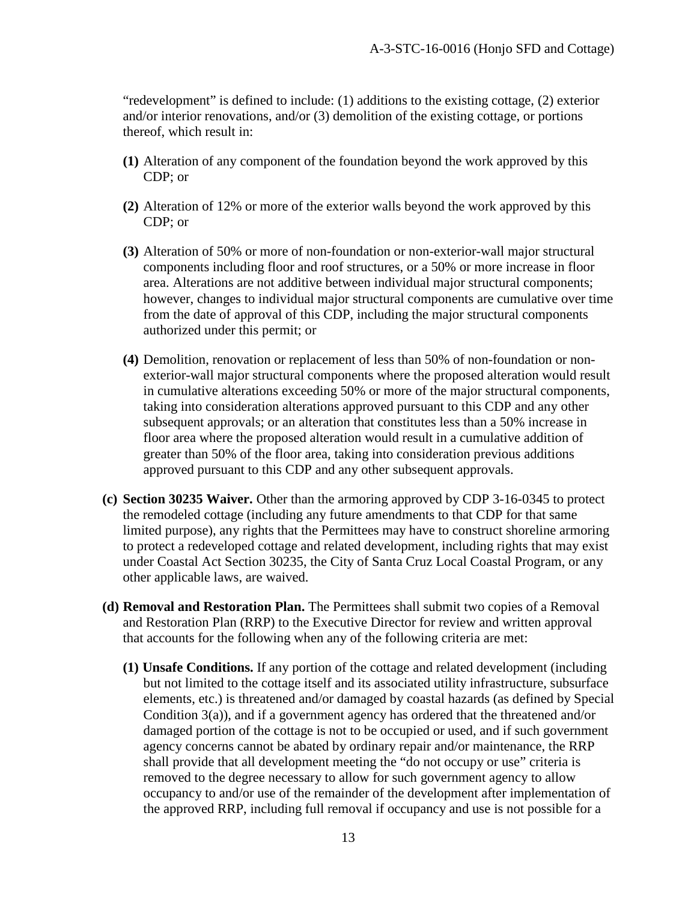"redevelopment" is defined to include: (1) additions to the existing cottage, (2) exterior and/or interior renovations, and/or (3) demolition of the existing cottage, or portions thereof, which result in:

- **(1)** Alteration of any component of the foundation beyond the work approved by this CDP; or
- **(2)** Alteration of 12% or more of the exterior walls beyond the work approved by this CDP; or
- **(3)** Alteration of 50% or more of non-foundation or non-exterior-wall major structural components including floor and roof structures, or a 50% or more increase in floor area. Alterations are not additive between individual major structural components; however, changes to individual major structural components are cumulative over time from the date of approval of this CDP, including the major structural components authorized under this permit; or
- **(4)** Demolition, renovation or replacement of less than 50% of non-foundation or nonexterior-wall major structural components where the proposed alteration would result in cumulative alterations exceeding 50% or more of the major structural components, taking into consideration alterations approved pursuant to this CDP and any other subsequent approvals; or an alteration that constitutes less than a 50% increase in floor area where the proposed alteration would result in a cumulative addition of greater than 50% of the floor area, taking into consideration previous additions approved pursuant to this CDP and any other subsequent approvals.
- **(c) Section 30235 Waiver.** Other than the armoring approved by CDP 3-16-0345 to protect the remodeled cottage (including any future amendments to that CDP for that same limited purpose), any rights that the Permittees may have to construct shoreline armoring to protect a redeveloped cottage and related development, including rights that may exist under Coastal Act Section 30235, the City of Santa Cruz Local Coastal Program, or any other applicable laws, are waived.
- **(d) Removal and Restoration Plan.** The Permittees shall submit two copies of a Removal and Restoration Plan (RRP) to the Executive Director for review and written approval that accounts for the following when any of the following criteria are met:
	- **(1) Unsafe Conditions.** If any portion of the cottage and related development (including but not limited to the cottage itself and its associated utility infrastructure, subsurface elements, etc.) is threatened and/or damaged by coastal hazards (as defined by Special Condition 3(a)), and if a government agency has ordered that the threatened and/or damaged portion of the cottage is not to be occupied or used, and if such government agency concerns cannot be abated by ordinary repair and/or maintenance, the RRP shall provide that all development meeting the "do not occupy or use" criteria is removed to the degree necessary to allow for such government agency to allow occupancy to and/or use of the remainder of the development after implementation of the approved RRP, including full removal if occupancy and use is not possible for a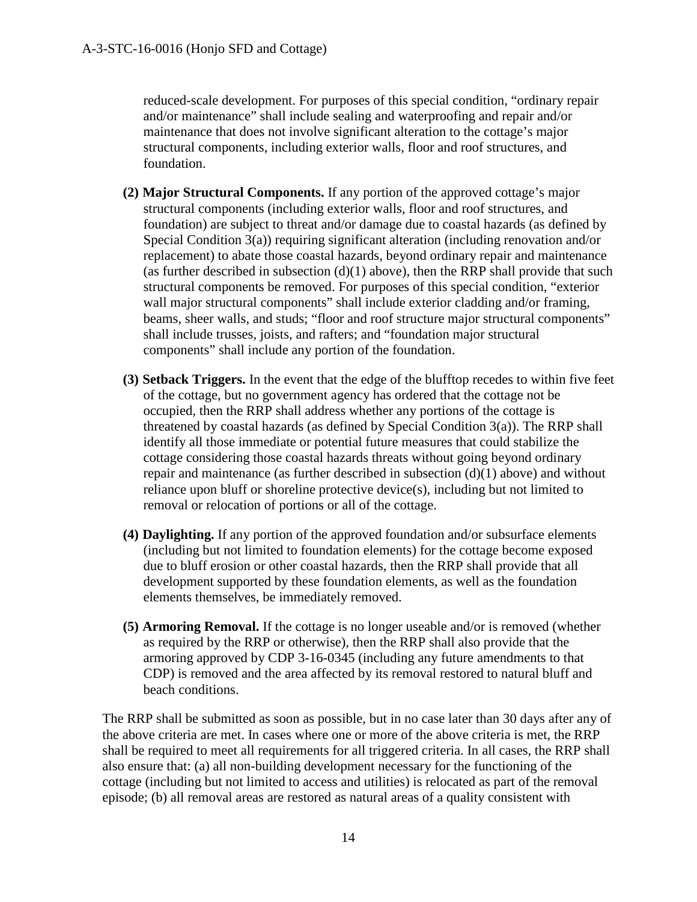reduced-scale development. For purposes of this special condition, "ordinary repair and/or maintenance" shall include sealing and waterproofing and repair and/or maintenance that does not involve significant alteration to the cottage's major structural components, including exterior walls, floor and roof structures, and foundation.

- **(2) Major Structural Components.** If any portion of the approved cottage's major structural components (including exterior walls, floor and roof structures, and foundation) are subject to threat and/or damage due to coastal hazards (as defined by Special Condition 3(a)) requiring significant alteration (including renovation and/or replacement) to abate those coastal hazards, beyond ordinary repair and maintenance (as further described in subsection  $(d)(1)$  above), then the RRP shall provide that such structural components be removed. For purposes of this special condition, "exterior wall major structural components" shall include exterior cladding and/or framing, beams, sheer walls, and studs; "floor and roof structure major structural components" shall include trusses, joists, and rafters; and "foundation major structural components" shall include any portion of the foundation.
- **(3) Setback Triggers.** In the event that the edge of the blufftop recedes to within five feet of the cottage, but no government agency has ordered that the cottage not be occupied, then the RRP shall address whether any portions of the cottage is threatened by coastal hazards (as defined by Special Condition 3(a)). The RRP shall identify all those immediate or potential future measures that could stabilize the cottage considering those coastal hazards threats without going beyond ordinary repair and maintenance (as further described in subsection (d)(1) above) and without reliance upon bluff or shoreline protective device(s), including but not limited to removal or relocation of portions or all of the cottage.
- **(4) Daylighting.** If any portion of the approved foundation and/or subsurface elements (including but not limited to foundation elements) for the cottage become exposed due to bluff erosion or other coastal hazards, then the RRP shall provide that all development supported by these foundation elements, as well as the foundation elements themselves, be immediately removed.
- **(5) Armoring Removal.** If the cottage is no longer useable and/or is removed (whether as required by the RRP or otherwise), then the RRP shall also provide that the armoring approved by CDP 3-16-0345 (including any future amendments to that CDP) is removed and the area affected by its removal restored to natural bluff and beach conditions.

The RRP shall be submitted as soon as possible, but in no case later than 30 days after any of the above criteria are met. In cases where one or more of the above criteria is met, the RRP shall be required to meet all requirements for all triggered criteria. In all cases, the RRP shall also ensure that: (a) all non-building development necessary for the functioning of the cottage (including but not limited to access and utilities) is relocated as part of the removal episode; (b) all removal areas are restored as natural areas of a quality consistent with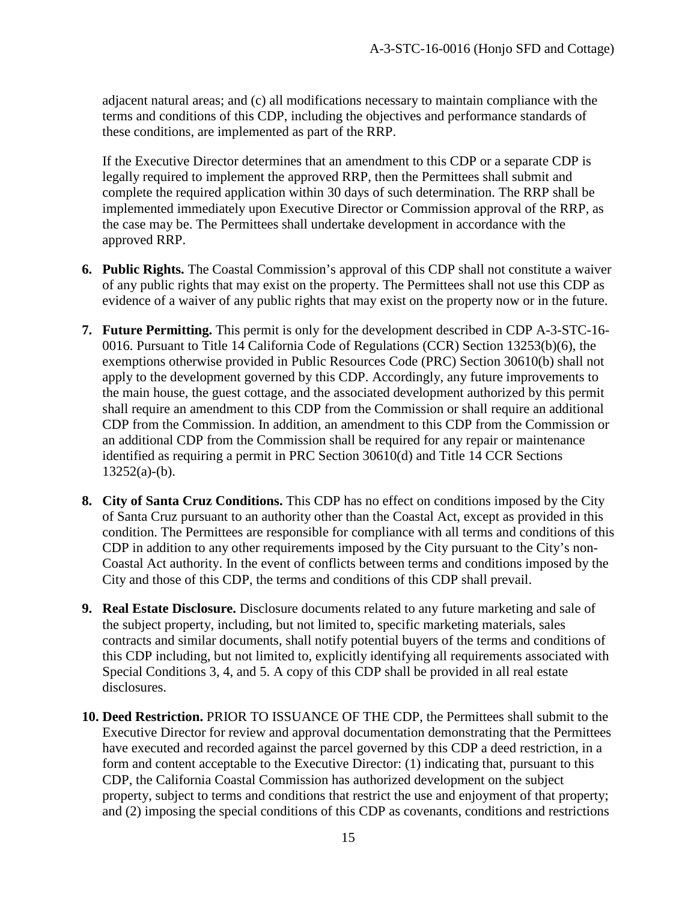adjacent natural areas; and (c) all modifications necessary to maintain compliance with the terms and conditions of this CDP, including the objectives and performance standards of these conditions, are implemented as part of the RRP.

If the Executive Director determines that an amendment to this CDP or a separate CDP is legally required to implement the approved RRP, then the Permittees shall submit and complete the required application within 30 days of such determination. The RRP shall be implemented immediately upon Executive Director or Commission approval of the RRP, as the case may be. The Permittees shall undertake development in accordance with the approved RRP.

- **6. Public Rights.** The Coastal Commission's approval of this CDP shall not constitute a waiver of any public rights that may exist on the property. The Permittees shall not use this CDP as evidence of a waiver of any public rights that may exist on the property now or in the future.
- **7. Future Permitting.** This permit is only for the development described in CDP A-3-STC-16- 0016. Pursuant to Title 14 California Code of Regulations (CCR) Section 13253(b)(6), the exemptions otherwise provided in Public Resources Code (PRC) Section 30610(b) shall not apply to the development governed by this CDP. Accordingly, any future improvements to the main house, the guest cottage, and the associated development authorized by this permit shall require an amendment to this CDP from the Commission or shall require an additional CDP from the Commission. In addition, an amendment to this CDP from the Commission or an additional CDP from the Commission shall be required for any repair or maintenance identified as requiring a permit in PRC Section 30610(d) and Title 14 CCR Sections  $13252(a)-(b)$ .
- **8. City of Santa Cruz Conditions.** This CDP has no effect on conditions imposed by the City of Santa Cruz pursuant to an authority other than the Coastal Act, except as provided in this condition. The Permittees are responsible for compliance with all terms and conditions of this CDP in addition to any other requirements imposed by the City pursuant to the City's non-Coastal Act authority. In the event of conflicts between terms and conditions imposed by the City and those of this CDP, the terms and conditions of this CDP shall prevail.
- **9. Real Estate Disclosure.** Disclosure documents related to any future marketing and sale of the subject property, including, but not limited to, specific marketing materials, sales contracts and similar documents, shall notify potential buyers of the terms and conditions of this CDP including, but not limited to, explicitly identifying all requirements associated with Special Conditions 3, 4, and 5. A copy of this CDP shall be provided in all real estate disclosures.
- **10. Deed Restriction.** PRIOR TO ISSUANCE OF THE CDP, the Permittees shall submit to the Executive Director for review and approval documentation demonstrating that the Permittees have executed and recorded against the parcel governed by this CDP a deed restriction, in a form and content acceptable to the Executive Director: (1) indicating that, pursuant to this CDP, the California Coastal Commission has authorized development on the subject property, subject to terms and conditions that restrict the use and enjoyment of that property; and (2) imposing the special conditions of this CDP as covenants, conditions and restrictions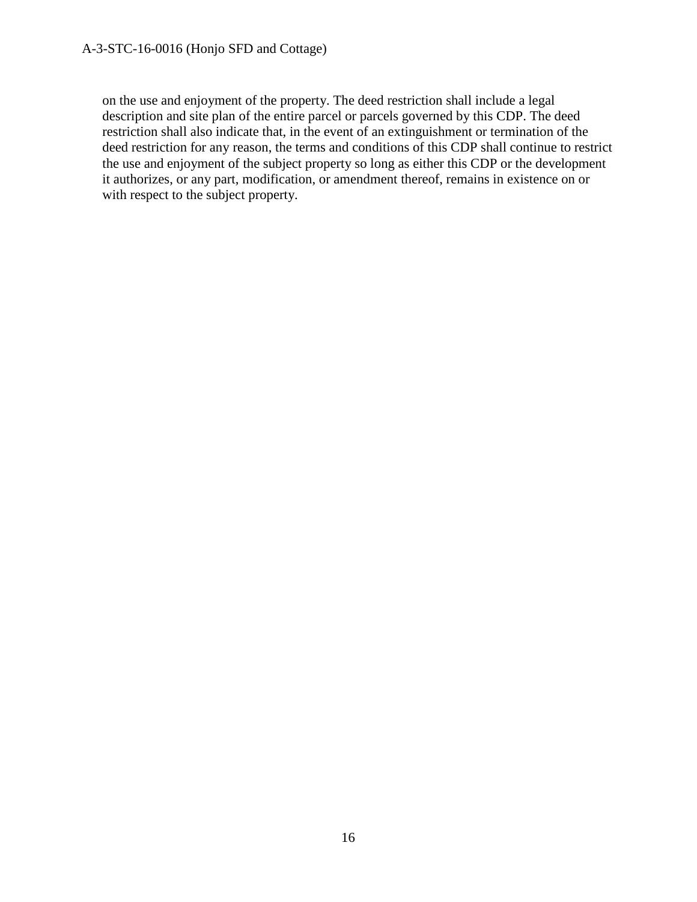on the use and enjoyment of the property. The deed restriction shall include a legal description and site plan of the entire parcel or parcels governed by this CDP. The deed restriction shall also indicate that, in the event of an extinguishment or termination of the deed restriction for any reason, the terms and conditions of this CDP shall continue to restrict the use and enjoyment of the subject property so long as either this CDP or the development it authorizes, or any part, modification, or amendment thereof, remains in existence on or with respect to the subject property.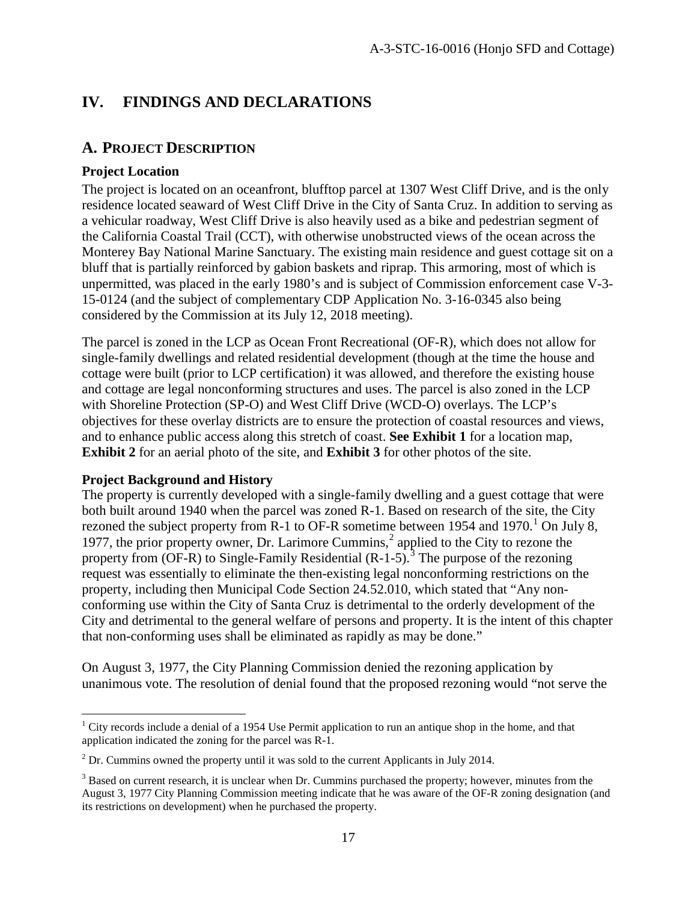# **IV. FINDINGS AND DECLARATIONS**

# **A. PROJECT DESCRIPTION**

#### **Project Location**

The project is located on an oceanfront, blufftop parcel at 1307 West Cliff Drive, and is the only residence located seaward of West Cliff Drive in the City of Santa Cruz. In addition to serving as a vehicular roadway, West Cliff Drive is also heavily used as a bike and pedestrian segment of the California Coastal Trail (CCT), with otherwise unobstructed views of the ocean across the Monterey Bay National Marine Sanctuary. The existing main residence and guest cottage sit on a bluff that is partially reinforced by gabion baskets and riprap. This armoring, most of which is unpermitted, was placed in the early 1980's and is subject of Commission enforcement case V-3- 15-0124 (and the subject of complementary CDP Application No. 3-16-0345 also being considered by the Commission at its July 12, 2018 meeting).

The parcel is zoned in the LCP as Ocean Front Recreational (OF-R), which does not allow for single-family dwellings and related residential development (though at the time the house and cottage were built (prior to LCP certification) it was allowed, and therefore the existing house and cottage are legal nonconforming structures and uses. The parcel is also zoned in the LCP with Shoreline Protection (SP-O) and West Cliff Drive (WCD-O) overlays. The LCP's objectives for these overlay districts are to ensure the protection of coastal resources and views, and to enhance public access along this stretch of coast. **See Exhibit 1** for a location map, **Exhibit 2** for an aerial photo of the site, and **Exhibit 3** for other photos of the site.

#### **Project Background and History**

The property is currently developed with a single-family dwelling and a guest cottage that were both built around 1940 when the parcel was zoned R-1. Based on research of the site, the City rezoned the subject property from R-[1](#page-16-0) to OF-R sometime between 1954 and 1970.<sup>1</sup> On July 8, 1977, the prior property owner, Dr. Larimore Cummins,<sup>[2](#page-16-1)</sup> applied to the City to rezone the property from  $(OF-R)$  to Single-Family Residential  $(R-1-5)$ .<sup>[3](#page-16-2)</sup> The purpose of the rezoning request was essentially to eliminate the then-existing legal nonconforming restrictions on the property, including then Municipal Code Section 24.52.010, which stated that "Any nonconforming use within the City of Santa Cruz is detrimental to the orderly development of the City and detrimental to the general welfare of persons and property. It is the intent of this chapter that non-conforming uses shall be eliminated as rapidly as may be done."

On August 3, 1977, the City Planning Commission denied the rezoning application by unanimous vote. The resolution of denial found that the proposed rezoning would "not serve the

<span id="page-16-0"></span> $\overline{a}$  $1$  City records include a denial of a 1954 Use Permit application to run an antique shop in the home, and that application indicated the zoning for the parcel was R-1.

<span id="page-16-1"></span><sup>&</sup>lt;sup>2</sup> Dr. Cummins owned the property until it was sold to the current Applicants in July 2014.

<span id="page-16-2"></span><sup>&</sup>lt;sup>3</sup> Based on current research, it is unclear when Dr. Cummins purchased the property; however, minutes from the August 3, 1977 City Planning Commission meeting indicate that he was aware of the OF-R zoning designation (and its restrictions on development) when he purchased the property.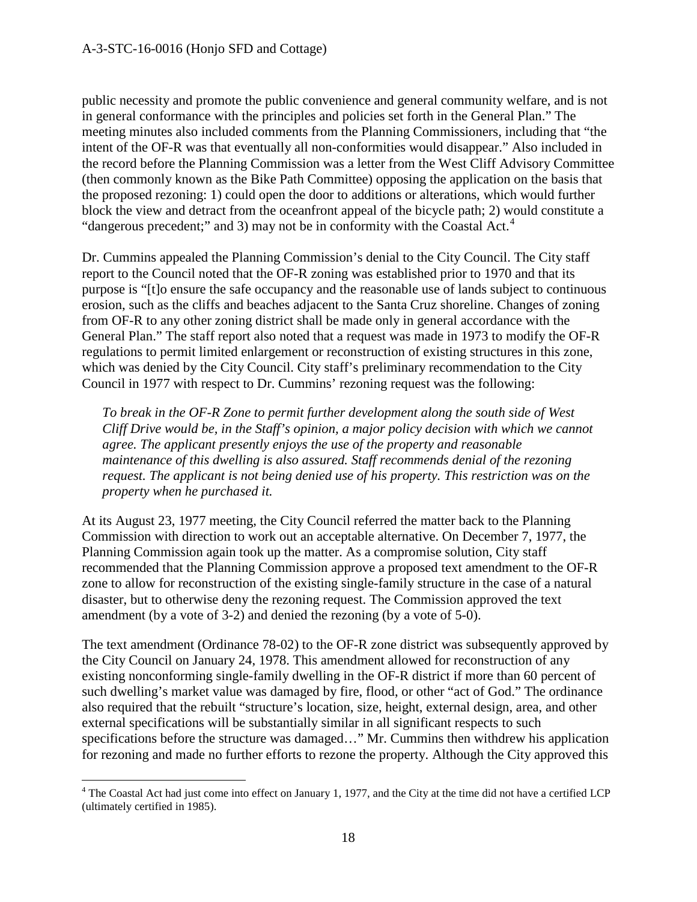public necessity and promote the public convenience and general community welfare, and is not in general conformance with the principles and policies set forth in the General Plan." The meeting minutes also included comments from the Planning Commissioners, including that "the intent of the OF-R was that eventually all non-conformities would disappear." Also included in the record before the Planning Commission was a letter from the West Cliff Advisory Committee (then commonly known as the Bike Path Committee) opposing the application on the basis that the proposed rezoning: 1) could open the door to additions or alterations, which would further block the view and detract from the oceanfront appeal of the bicycle path; 2) would constitute a "dangerous precedent;" and 3) may not be in conformity with the Coastal Act.<sup>[4](#page-17-0)</sup>

Dr. Cummins appealed the Planning Commission's denial to the City Council. The City staff report to the Council noted that the OF-R zoning was established prior to 1970 and that its purpose is "[t]o ensure the safe occupancy and the reasonable use of lands subject to continuous erosion, such as the cliffs and beaches adjacent to the Santa Cruz shoreline. Changes of zoning from OF-R to any other zoning district shall be made only in general accordance with the General Plan." The staff report also noted that a request was made in 1973 to modify the OF-R regulations to permit limited enlargement or reconstruction of existing structures in this zone, which was denied by the City Council. City staff's preliminary recommendation to the City Council in 1977 with respect to Dr. Cummins' rezoning request was the following:

*To break in the OF-R Zone to permit further development along the south side of West Cliff Drive would be, in the Staff's opinion, a major policy decision with which we cannot agree. The applicant presently enjoys the use of the property and reasonable maintenance of this dwelling is also assured. Staff recommends denial of the rezoning request. The applicant is not being denied use of his property. This restriction was on the property when he purchased it.* 

At its August 23, 1977 meeting, the City Council referred the matter back to the Planning Commission with direction to work out an acceptable alternative. On December 7, 1977, the Planning Commission again took up the matter. As a compromise solution, City staff recommended that the Planning Commission approve a proposed text amendment to the OF-R zone to allow for reconstruction of the existing single-family structure in the case of a natural disaster, but to otherwise deny the rezoning request. The Commission approved the text amendment (by a vote of 3-2) and denied the rezoning (by a vote of 5-0).

The text amendment (Ordinance 78-02) to the OF-R zone district was subsequently approved by the City Council on January 24, 1978. This amendment allowed for reconstruction of any existing nonconforming single-family dwelling in the OF-R district if more than 60 percent of such dwelling's market value was damaged by fire, flood, or other "act of God." The ordinance also required that the rebuilt "structure's location, size, height, external design, area, and other external specifications will be substantially similar in all significant respects to such specifications before the structure was damaged…" Mr. Cummins then withdrew his application for rezoning and made no further efforts to rezone the property. Although the City approved this

<span id="page-17-0"></span> $\overline{a}$ <sup>4</sup> The Coastal Act had just come into effect on January 1, 1977, and the City at the time did not have a certified LCP (ultimately certified in 1985).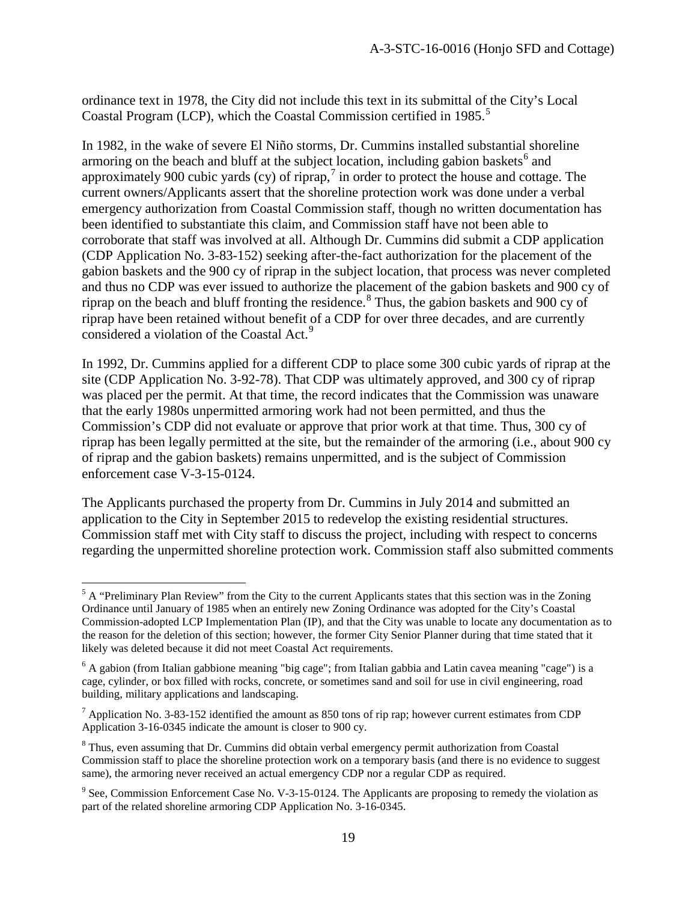ordinance text in 1978, the City did not include this text in its submittal of the City's Local Coastal Program (LCP), which the Coastal Commission certified in 198[5](#page-18-0).<sup>5</sup>

In 1982, in the wake of severe El Niño storms, Dr. Cummins installed substantial shoreline armoring on the beach and bluff at the subject location, including gabion baskets<sup>[6](#page-18-1)</sup> and approximately 900 cubic yards (cy) of riprap,<sup>[7](#page-18-2)</sup> in order to protect the house and cottage. The current owners/Applicants assert that the shoreline protection work was done under a verbal emergency authorization from Coastal Commission staff, though no written documentation has been identified to substantiate this claim, and Commission staff have not been able to corroborate that staff was involved at all. Although Dr. Cummins did submit a CDP application (CDP Application No. 3-83-152) seeking after-the-fact authorization for the placement of the gabion baskets and the 900 cy of riprap in the subject location, that process was never completed and thus no CDP was ever issued to authorize the placement of the gabion baskets and 900 cy of riprap on the beach and bluff fronting the residence.<sup>[8](#page-18-3)</sup> Thus, the gabion baskets and 900 cy of riprap have been retained without benefit of a CDP for over three decades, and are currently considered a violation of the Coastal Act.<sup>[9](#page-18-4)</sup>

In 1992, Dr. Cummins applied for a different CDP to place some 300 cubic yards of riprap at the site (CDP Application No. 3-92-78). That CDP was ultimately approved, and 300 cy of riprap was placed per the permit. At that time, the record indicates that the Commission was unaware that the early 1980s unpermitted armoring work had not been permitted, and thus the Commission's CDP did not evaluate or approve that prior work at that time. Thus, 300 cy of riprap has been legally permitted at the site, but the remainder of the armoring (i.e., about 900 cy of riprap and the gabion baskets) remains unpermitted, and is the subject of Commission enforcement case V-3-15-0124.

The Applicants purchased the property from Dr. Cummins in July 2014 and submitted an application to the City in September 2015 to redevelop the existing residential structures. Commission staff met with City staff to discuss the project, including with respect to concerns regarding the unpermitted shoreline protection work. Commission staff also submitted comments

 $\overline{a}$ 

<span id="page-18-0"></span> $<sup>5</sup>$  A "Preliminary Plan Review" from the City to the current Applicants states that this section was in the Zoning</sup> Ordinance until January of 1985 when an entirely new Zoning Ordinance was adopted for the City's Coastal Commission-adopted LCP Implementation Plan (IP), and that the City was unable to locate any documentation as to the reason for the deletion of this section; however, the former City Senior Planner during that time stated that it likely was deleted because it did not meet Coastal Act requirements.

<span id="page-18-1"></span><sup>&</sup>lt;sup>6</sup> A gabion (from Italian gabbione meaning "big cage"; from Italian gabbia and Latin cavea meaning "cage") is a cage, cylinder, or box filled with rocks, concrete, or sometimes sand and soil for use in civil engineering, road building, military applications and landscaping.

<span id="page-18-2"></span> $<sup>7</sup>$  Application No. 3-83-152 identified the amount as 850 tons of rip rap; however current estimates from CDP</sup> Application 3-16-0345 indicate the amount is closer to 900 cy.

<span id="page-18-3"></span><sup>&</sup>lt;sup>8</sup> Thus, even assuming that Dr. Cummins did obtain verbal emergency permit authorization from Coastal Commission staff to place the shoreline protection work on a temporary basis (and there is no evidence to suggest same), the armoring never received an actual emergency CDP nor a regular CDP as required.

<span id="page-18-4"></span><sup>&</sup>lt;sup>9</sup> See, Commission Enforcement Case No. V-3-15-0124. The Applicants are proposing to remedy the violation as part of the related shoreline armoring CDP Application No. 3-16-0345.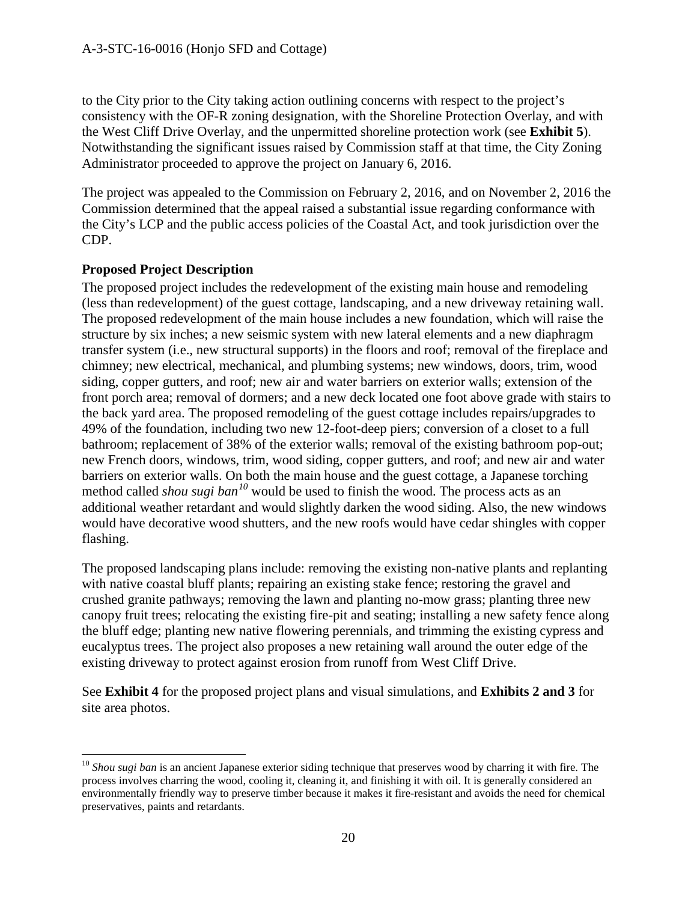to the City prior to the City taking action outlining concerns with respect to the project's consistency with the OF-R zoning designation, with the Shoreline Protection Overlay, and with the West Cliff Drive Overlay, and the unpermitted shoreline protection work (see **Exhibit 5**). Notwithstanding the significant issues raised by Commission staff at that time, the City Zoning Administrator proceeded to approve the project on January 6, 2016.

The project was appealed to the Commission on February 2, 2016, and on November 2, 2016 the Commission determined that the appeal raised a substantial issue regarding conformance with the City's LCP and the public access policies of the Coastal Act, and took jurisdiction over the CDP.

#### **Proposed Project Description**

The proposed project includes the redevelopment of the existing main house and remodeling (less than redevelopment) of the guest cottage, landscaping, and a new driveway retaining wall. The proposed redevelopment of the main house includes a new foundation, which will raise the structure by six inches; a new seismic system with new lateral elements and a new diaphragm transfer system (i.e., new structural supports) in the floors and roof; removal of the fireplace and chimney; new electrical, mechanical, and plumbing systems; new windows, doors, trim, wood siding, copper gutters, and roof; new air and water barriers on exterior walls; extension of the front porch area; removal of dormers; and a new deck located one foot above grade with stairs to the back yard area. The proposed remodeling of the guest cottage includes repairs/upgrades to 49% of the foundation, including two new 12-foot-deep piers; conversion of a closet to a full bathroom; replacement of 38% of the exterior walls; removal of the existing bathroom pop-out; new French doors, windows, trim, wood siding, copper gutters, and roof; and new air and water barriers on exterior walls. On both the main house and the guest cottage, a Japanese torching method called *shou sugi ban[10](#page-19-0)* would be used to finish the wood. The process acts as an additional weather retardant and would slightly darken the wood siding. Also, the new windows would have decorative wood shutters, and the new roofs would have cedar shingles with copper flashing.

The proposed landscaping plans include: removing the existing non-native plants and replanting with native coastal bluff plants; repairing an existing stake fence; restoring the gravel and crushed granite pathways; removing the lawn and planting no-mow grass; planting three new canopy fruit trees; relocating the existing fire-pit and seating; installing a new safety fence along the bluff edge; planting new native flowering perennials, and trimming the existing cypress and eucalyptus trees. The project also proposes a new retaining wall around the outer edge of the existing driveway to protect against erosion from runoff from West Cliff Drive.

See **Exhibit 4** for the proposed project plans and visual simulations, and **Exhibits 2 and 3** for site area photos.

<span id="page-19-0"></span> $\overline{a}$ <sup>10</sup> Shou sugi ban is an ancient Japanese exterior siding technique that preserves wood by charring it with fire. The process involves charring the wood, cooling it, cleaning it, and finishing it with oil. It is generally considered an environmentally friendly way to preserve timber because it makes it fire-resistant and avoids the need for chemical preservatives, paints and retardants.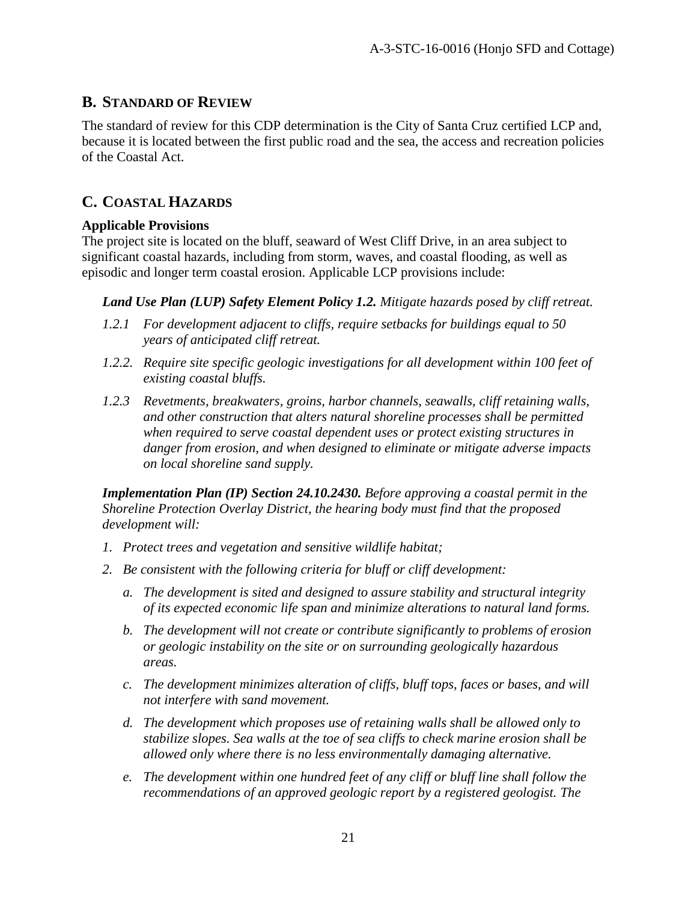# **B. STANDARD OF REVIEW**

The standard of review for this CDP determination is the City of Santa Cruz certified LCP and, because it is located between the first public road and the sea, the access and recreation policies of the Coastal Act.

# **C. COASTAL HAZARDS**

#### **Applicable Provisions**

The project site is located on the bluff, seaward of West Cliff Drive, in an area subject to significant coastal hazards, including from storm, waves, and coastal flooding, as well as episodic and longer term coastal erosion. Applicable LCP provisions include:

*Land Use Plan (LUP) Safety Element Policy 1.2. Mitigate hazards posed by cliff retreat.* 

- *1.2.1 For development adjacent to cliffs, require setbacks for buildings equal to 50 years of anticipated cliff retreat.*
- *1.2.2. Require site specific geologic investigations for all development within 100 feet of existing coastal bluffs.*
- *1.2.3 Revetments, breakwaters, groins, harbor channels, seawalls, cliff retaining walls, and other construction that alters natural shoreline processes shall be permitted when required to serve coastal dependent uses or protect existing structures in danger from erosion, and when designed to eliminate or mitigate adverse impacts on local shoreline sand supply.*

*Implementation Plan (IP) Section 24.10.2430. Before approving a coastal permit in the Shoreline Protection Overlay District, the hearing body must find that the proposed development will:*

- *1. Protect trees and vegetation and sensitive wildlife habitat;*
- *2. Be consistent with the following criteria for bluff or cliff development:*
	- *a. The development is sited and designed to assure stability and structural integrity of its expected economic life span and minimize alterations to natural land forms.*
	- *b. The development will not create or contribute significantly to problems of erosion or geologic instability on the site or on surrounding geologically hazardous areas.*
	- *c. The development minimizes alteration of cliffs, bluff tops, faces or bases, and will not interfere with sand movement.*
	- *d. The development which proposes use of retaining walls shall be allowed only to stabilize slopes. Sea walls at the toe of sea cliffs to check marine erosion shall be allowed only where there is no less environmentally damaging alternative.*
	- *e. The development within one hundred feet of any cliff or bluff line shall follow the recommendations of an approved geologic report by a registered geologist. The*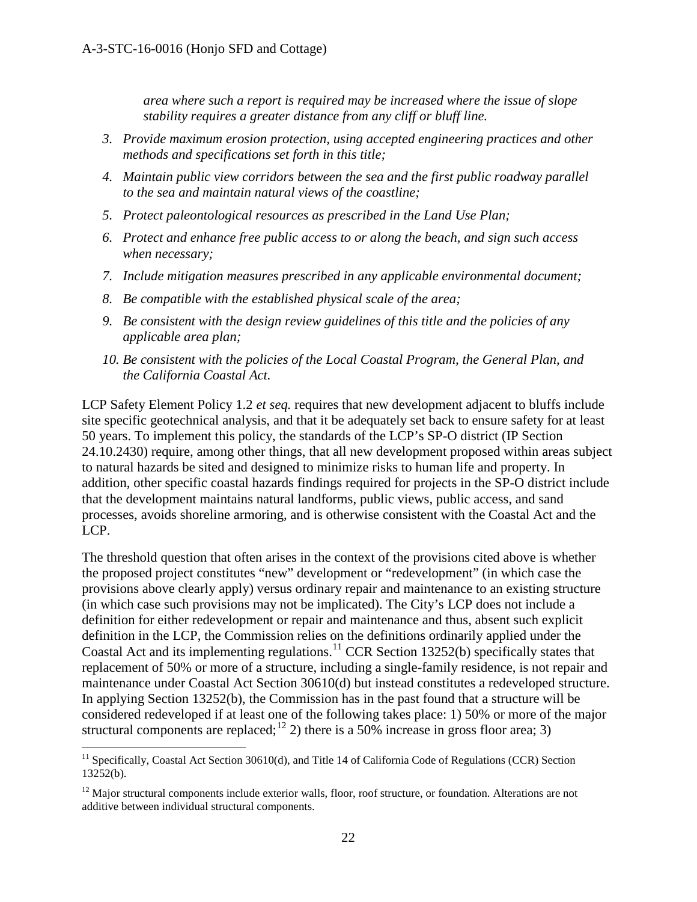*area where such a report is required may be increased where the issue of slope stability requires a greater distance from any cliff or bluff line.*

- *3. Provide maximum erosion protection, using accepted engineering practices and other methods and specifications set forth in this title;*
- *4. Maintain public view corridors between the sea and the first public roadway parallel to the sea and maintain natural views of the coastline;*
- *5. Protect paleontological resources as prescribed in the Land Use Plan;*
- *6. Protect and enhance free public access to or along the beach, and sign such access when necessary;*
- *7. Include mitigation measures prescribed in any applicable environmental document;*
- *8. Be compatible with the established physical scale of the area;*
- *9. Be consistent with the design review guidelines of this title and the policies of any applicable area plan;*
- *10. Be consistent with the policies of the Local Coastal Program, the General Plan, and the California Coastal Act.*

LCP Safety Element Policy 1.2 *et seq.* requires that new development adjacent to bluffs include site specific geotechnical analysis, and that it be adequately set back to ensure safety for at least 50 years. To implement this policy, the standards of the LCP's SP-O district (IP Section 24.10.2430) require, among other things, that all new development proposed within areas subject to natural hazards be sited and designed to minimize risks to human life and property. In addition, other specific coastal hazards findings required for projects in the SP-O district include that the development maintains natural landforms, public views, public access, and sand processes, avoids shoreline armoring, and is otherwise consistent with the Coastal Act and the LCP.

The threshold question that often arises in the context of the provisions cited above is whether the proposed project constitutes "new" development or "redevelopment" (in which case the provisions above clearly apply) versus ordinary repair and maintenance to an existing structure (in which case such provisions may not be implicated). The City's LCP does not include a definition for either redevelopment or repair and maintenance and thus, absent such explicit definition in the LCP, the Commission relies on the definitions ordinarily applied under the Coastal Act and its implementing regulations. [11](#page-21-0) CCR Section 13252(b) specifically states that replacement of 50% or more of a structure, including a single-family residence, is not repair and maintenance under Coastal Act Section 30610(d) but instead constitutes a redeveloped structure. In applying Section 13252(b), the Commission has in the past found that a structure will be considered redeveloped if at least one of the following takes place: 1) 50% or more of the major structural components are replaced;  $12$  2) there is a 50% increase in gross floor area; 3)

 $\overline{a}$ 

<span id="page-21-0"></span><sup>&</sup>lt;sup>11</sup> Specifically, Coastal Act Section 30610(d), and Title 14 of California Code of Regulations (CCR) Section 13252(b).

<span id="page-21-1"></span> $12$  Major structural components include exterior walls, floor, roof structure, or foundation. Alterations are not additive between individual structural components.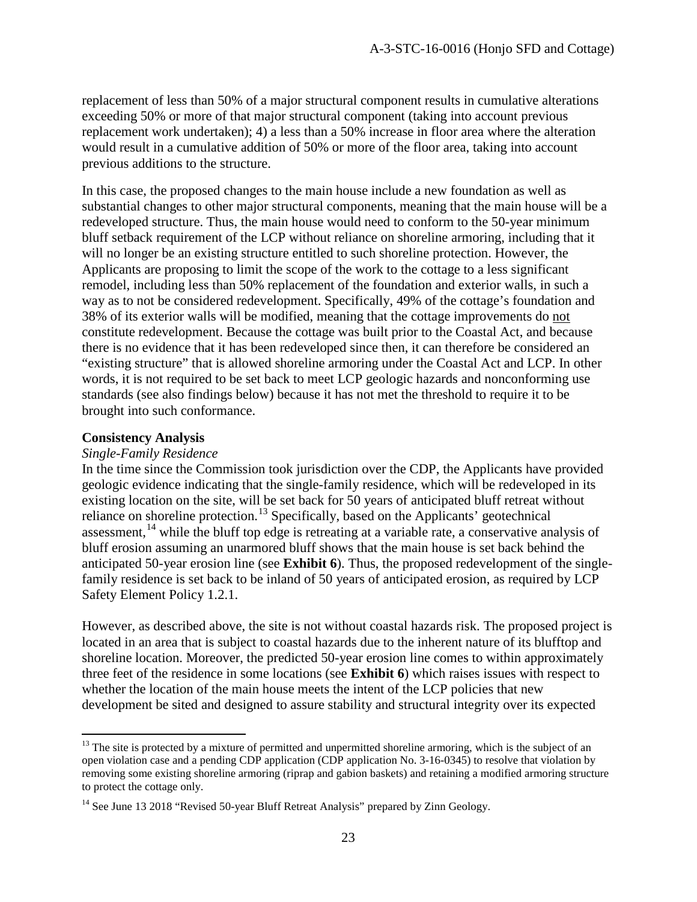replacement of less than 50% of a major structural component results in cumulative alterations exceeding 50% or more of that major structural component (taking into account previous replacement work undertaken); 4) a less than a 50% increase in floor area where the alteration would result in a cumulative addition of 50% or more of the floor area, taking into account previous additions to the structure.

In this case, the proposed changes to the main house include a new foundation as well as substantial changes to other major structural components, meaning that the main house will be a redeveloped structure. Thus, the main house would need to conform to the 50-year minimum bluff setback requirement of the LCP without reliance on shoreline armoring, including that it will no longer be an existing structure entitled to such shoreline protection. However, the Applicants are proposing to limit the scope of the work to the cottage to a less significant remodel, including less than 50% replacement of the foundation and exterior walls, in such a way as to not be considered redevelopment. Specifically, 49% of the cottage's foundation and 38% of its exterior walls will be modified, meaning that the cottage improvements do not constitute redevelopment. Because the cottage was built prior to the Coastal Act, and because there is no evidence that it has been redeveloped since then, it can therefore be considered an "existing structure" that is allowed shoreline armoring under the Coastal Act and LCP. In other words, it is not required to be set back to meet LCP geologic hazards and nonconforming use standards (see also findings below) because it has not met the threshold to require it to be brought into such conformance.

#### **Consistency Analysis**

 $\overline{a}$ 

#### *Single-Family Residence*

In the time since the Commission took jurisdiction over the CDP, the Applicants have provided geologic evidence indicating that the single-family residence, which will be redeveloped in its existing location on the site, will be set back for 50 years of anticipated bluff retreat without reliance on shoreline protection.<sup>[13](#page-22-0)</sup> Specifically, based on the Applicants' geotechnical assessment,<sup>[14](#page-22-1)</sup> while the bluff top edge is retreating at a variable rate, a conservative analysis of bluff erosion assuming an unarmored bluff shows that the main house is set back behind the anticipated 50-year erosion line (see **Exhibit 6**). Thus, the proposed redevelopment of the singlefamily residence is set back to be inland of 50 years of anticipated erosion, as required by LCP Safety Element Policy 1.2.1.

However, as described above, the site is not without coastal hazards risk. The proposed project is located in an area that is subject to coastal hazards due to the inherent nature of its blufftop and shoreline location. Moreover, the predicted 50-year erosion line comes to within approximately three feet of the residence in some locations (see **Exhibit 6**) which raises issues with respect to whether the location of the main house meets the intent of the LCP policies that new development be sited and designed to assure stability and structural integrity over its expected

<span id="page-22-0"></span><sup>&</sup>lt;sup>13</sup> The site is protected by a mixture of permitted and unpermitted shoreline armoring, which is the subject of an open violation case and a pending CDP application (CDP application No. 3-16-0345) to resolve that violation by removing some existing shoreline armoring (riprap and gabion baskets) and retaining a modified armoring structure to protect the cottage only.

<span id="page-22-1"></span><sup>&</sup>lt;sup>14</sup> See June 13 2018 "Revised 50-year Bluff Retreat Analysis" prepared by Zinn Geology.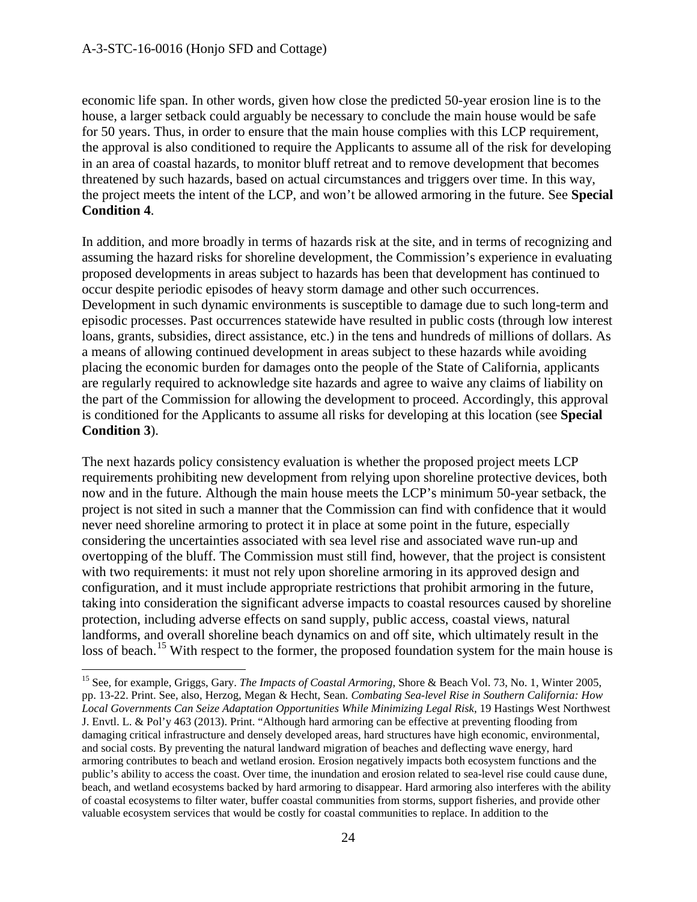$\overline{a}$ 

economic life span. In other words, given how close the predicted 50-year erosion line is to the house, a larger setback could arguably be necessary to conclude the main house would be safe for 50 years. Thus, in order to ensure that the main house complies with this LCP requirement, the approval is also conditioned to require the Applicants to assume all of the risk for developing in an area of coastal hazards, to monitor bluff retreat and to remove development that becomes threatened by such hazards, based on actual circumstances and triggers over time. In this way, the project meets the intent of the LCP, and won't be allowed armoring in the future. See **Special Condition 4**.

In addition, and more broadly in terms of hazards risk at the site, and in terms of recognizing and assuming the hazard risks for shoreline development, the Commission's experience in evaluating proposed developments in areas subject to hazards has been that development has continued to occur despite periodic episodes of heavy storm damage and other such occurrences. Development in such dynamic environments is susceptible to damage due to such long-term and episodic processes. Past occurrences statewide have resulted in public costs (through low interest loans, grants, subsidies, direct assistance, etc.) in the tens and hundreds of millions of dollars. As a means of allowing continued development in areas subject to these hazards while avoiding placing the economic burden for damages onto the people of the State of California, applicants are regularly required to acknowledge site hazards and agree to waive any claims of liability on the part of the Commission for allowing the development to proceed. Accordingly, this approval is conditioned for the Applicants to assume all risks for developing at this location (see **Special Condition 3**).

The next hazards policy consistency evaluation is whether the proposed project meets LCP requirements prohibiting new development from relying upon shoreline protective devices, both now and in the future. Although the main house meets the LCP's minimum 50-year setback, the project is not sited in such a manner that the Commission can find with confidence that it would never need shoreline armoring to protect it in place at some point in the future, especially considering the uncertainties associated with sea level rise and associated wave run-up and overtopping of the bluff. The Commission must still find, however, that the project is consistent with two requirements: it must not rely upon shoreline armoring in its approved design and configuration, and it must include appropriate restrictions that prohibit armoring in the future, taking into consideration the significant adverse impacts to coastal resources caused by shoreline protection, including adverse effects on sand supply, public access, coastal views, natural landforms, and overall shoreline beach dynamics on and off site, which ultimately result in the loss of beach.<sup>[15](#page-23-0)</sup> With respect to the former, the proposed foundation system for the main house is

<span id="page-23-0"></span><sup>&</sup>lt;sup>15</sup> See, for example, Griggs, Gary. *The Impacts of Coastal Armoring*, Shore & Beach Vol. 73, No. 1, Winter 2005, pp. 13-22. Print. See, also, Herzog, Megan & Hecht, Sean. *Combating Sea-level Rise in Southern California: How Local Governments Can Seize Adaptation Opportunities While Minimizing Legal Risk*, 19 Hastings West Northwest J. Envtl. L. & Pol'y 463 (2013). Print. "Although hard armoring can be effective at preventing flooding from damaging critical infrastructure and densely developed areas, hard structures have high economic, environmental, and social costs. By preventing the natural landward migration of beaches and deflecting wave energy, hard armoring contributes to beach and wetland erosion. Erosion negatively impacts both ecosystem functions and the public's ability to access the coast. Over time, the inundation and erosion related to sea-level rise could cause dune, beach, and wetland ecosystems backed by hard armoring to disappear. Hard armoring also interferes with the ability of coastal ecosystems to filter water, buffer coastal communities from storms, support fisheries, and provide other valuable ecosystem services that would be costly for coastal communities to replace. In addition to the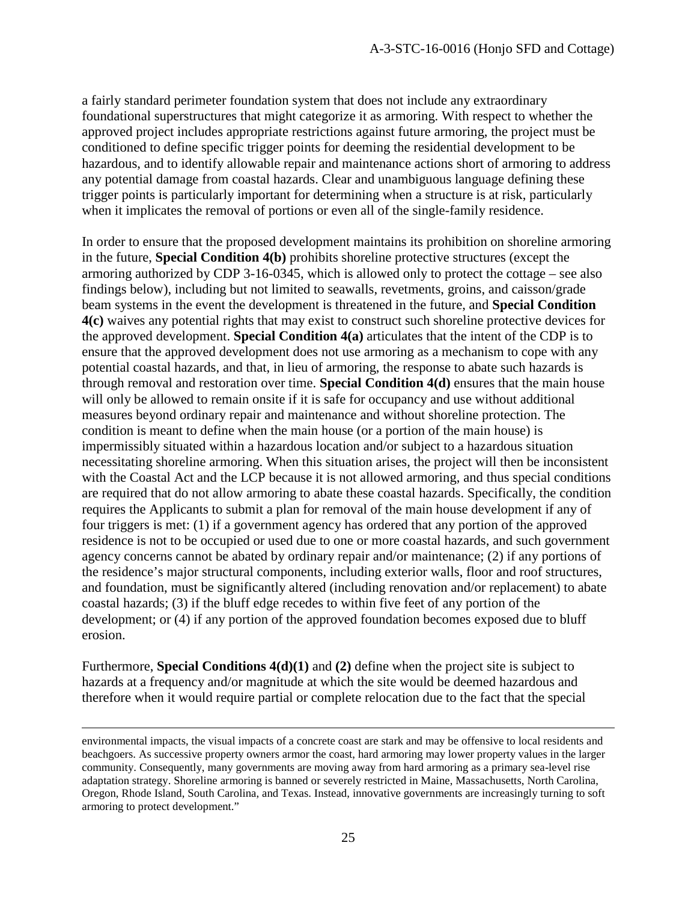a fairly standard perimeter foundation system that does not include any extraordinary foundational superstructures that might categorize it as armoring. With respect to whether the approved project includes appropriate restrictions against future armoring, the project must be conditioned to define specific trigger points for deeming the residential development to be hazardous, and to identify allowable repair and maintenance actions short of armoring to address any potential damage from coastal hazards. Clear and unambiguous language defining these trigger points is particularly important for determining when a structure is at risk, particularly when it implicates the removal of portions or even all of the single-family residence.

In order to ensure that the proposed development maintains its prohibition on shoreline armoring in the future, **Special Condition 4(b)** prohibits shoreline protective structures (except the armoring authorized by CDP 3-16-0345, which is allowed only to protect the cottage – see also findings below), including but not limited to seawalls, revetments, groins, and caisson/grade beam systems in the event the development is threatened in the future, and **Special Condition 4(c)** waives any potential rights that may exist to construct such shoreline protective devices for the approved development. **Special Condition 4(a)** articulates that the intent of the CDP is to ensure that the approved development does not use armoring as a mechanism to cope with any potential coastal hazards, and that, in lieu of armoring, the response to abate such hazards is through removal and restoration over time. **Special Condition 4(d)** ensures that the main house will only be allowed to remain onsite if it is safe for occupancy and use without additional measures beyond ordinary repair and maintenance and without shoreline protection. The condition is meant to define when the main house (or a portion of the main house) is impermissibly situated within a hazardous location and/or subject to a hazardous situation necessitating shoreline armoring. When this situation arises, the project will then be inconsistent with the Coastal Act and the LCP because it is not allowed armoring, and thus special conditions are required that do not allow armoring to abate these coastal hazards. Specifically, the condition requires the Applicants to submit a plan for removal of the main house development if any of four triggers is met: (1) if a government agency has ordered that any portion of the approved residence is not to be occupied or used due to one or more coastal hazards, and such government agency concerns cannot be abated by ordinary repair and/or maintenance; (2) if any portions of the residence's major structural components, including exterior walls, floor and roof structures, and foundation, must be significantly altered (including renovation and/or replacement) to abate coastal hazards; (3) if the bluff edge recedes to within five feet of any portion of the development; or (4) if any portion of the approved foundation becomes exposed due to bluff erosion.

Furthermore, **Special Conditions 4(d)(1)** and **(2)** define when the project site is subject to hazards at a frequency and/or magnitude at which the site would be deemed hazardous and therefore when it would require partial or complete relocation due to the fact that the special

 $\overline{a}$ 

environmental impacts, the visual impacts of a concrete coast are stark and may be offensive to local residents and beachgoers. As successive property owners armor the coast, hard armoring may lower property values in the larger community. Consequently, many governments are moving away from hard armoring as a primary sea-level rise adaptation strategy. Shoreline armoring is banned or severely restricted in Maine, Massachusetts, North Carolina, Oregon, Rhode Island, South Carolina, and Texas. Instead, innovative governments are increasingly turning to soft armoring to protect development."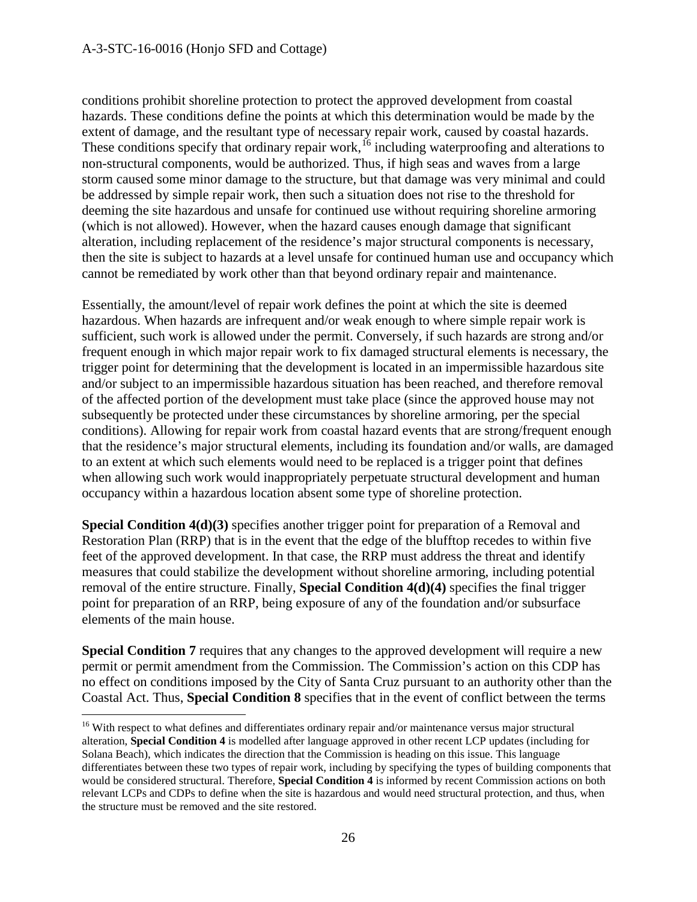$\overline{a}$ 

conditions prohibit shoreline protection to protect the approved development from coastal hazards. These conditions define the points at which this determination would be made by the extent of damage, and the resultant type of necessary repair work, caused by coastal hazards. These conditions specify that ordinary repair work,<sup>[16](#page-25-0)</sup> including waterproofing and alterations to non-structural components, would be authorized. Thus, if high seas and waves from a large storm caused some minor damage to the structure, but that damage was very minimal and could be addressed by simple repair work, then such a situation does not rise to the threshold for deeming the site hazardous and unsafe for continued use without requiring shoreline armoring (which is not allowed). However, when the hazard causes enough damage that significant alteration, including replacement of the residence's major structural components is necessary, then the site is subject to hazards at a level unsafe for continued human use and occupancy which cannot be remediated by work other than that beyond ordinary repair and maintenance.

Essentially, the amount/level of repair work defines the point at which the site is deemed hazardous. When hazards are infrequent and/or weak enough to where simple repair work is sufficient, such work is allowed under the permit. Conversely, if such hazards are strong and/or frequent enough in which major repair work to fix damaged structural elements is necessary, the trigger point for determining that the development is located in an impermissible hazardous site and/or subject to an impermissible hazardous situation has been reached, and therefore removal of the affected portion of the development must take place (since the approved house may not subsequently be protected under these circumstances by shoreline armoring, per the special conditions). Allowing for repair work from coastal hazard events that are strong/frequent enough that the residence's major structural elements, including its foundation and/or walls, are damaged to an extent at which such elements would need to be replaced is a trigger point that defines when allowing such work would inappropriately perpetuate structural development and human occupancy within a hazardous location absent some type of shoreline protection.

**Special Condition 4(d)(3)** specifies another trigger point for preparation of a Removal and Restoration Plan (RRP) that is in the event that the edge of the blufftop recedes to within five feet of the approved development. In that case, the RRP must address the threat and identify measures that could stabilize the development without shoreline armoring, including potential removal of the entire structure. Finally, **Special Condition 4(d)(4)** specifies the final trigger point for preparation of an RRP, being exposure of any of the foundation and/or subsurface elements of the main house.

**Special Condition 7** requires that any changes to the approved development will require a new permit or permit amendment from the Commission. The Commission's action on this CDP has no effect on conditions imposed by the City of Santa Cruz pursuant to an authority other than the Coastal Act. Thus, **Special Condition 8** specifies that in the event of conflict between the terms

<span id="page-25-0"></span><sup>&</sup>lt;sup>16</sup> With respect to what defines and differentiates ordinary repair and/or maintenance versus major structural alteration, **Special Condition 4** is modelled after language approved in other recent LCP updates (including for Solana Beach), which indicates the direction that the Commission is heading on this issue. This language differentiates between these two types of repair work, including by specifying the types of building components that would be considered structural. Therefore, **Special Condition 4** is informed by recent Commission actions on both relevant LCPs and CDPs to define when the site is hazardous and would need structural protection, and thus, when the structure must be removed and the site restored.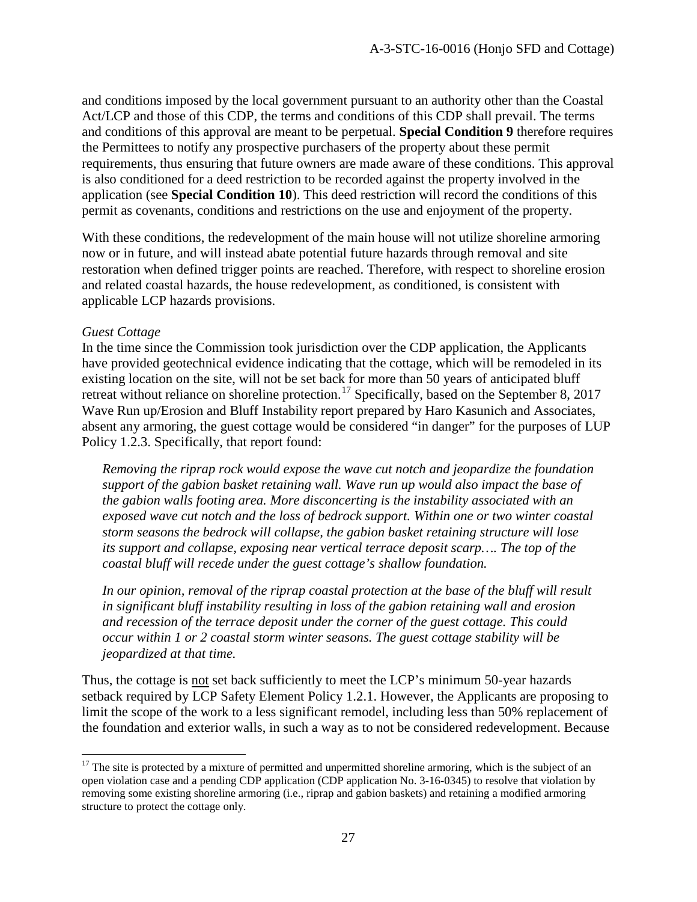and conditions imposed by the local government pursuant to an authority other than the Coastal Act/LCP and those of this CDP, the terms and conditions of this CDP shall prevail. The terms and conditions of this approval are meant to be perpetual. **Special Condition 9** therefore requires the Permittees to notify any prospective purchasers of the property about these permit requirements, thus ensuring that future owners are made aware of these conditions. This approval is also conditioned for a deed restriction to be recorded against the property involved in the application (see **Special Condition 10**). This deed restriction will record the conditions of this permit as covenants, conditions and restrictions on the use and enjoyment of the property.

With these conditions, the redevelopment of the main house will not utilize shoreline armoring now or in future, and will instead abate potential future hazards through removal and site restoration when defined trigger points are reached. Therefore, with respect to shoreline erosion and related coastal hazards, the house redevelopment, as conditioned, is consistent with applicable LCP hazards provisions.

#### *Guest Cottage*

 $\overline{a}$ 

In the time since the Commission took jurisdiction over the CDP application, the Applicants have provided geotechnical evidence indicating that the cottage, which will be remodeled in its existing location on the site, will not be set back for more than 50 years of anticipated bluff retreat without reliance on shoreline protection.<sup>[17](#page-26-0)</sup> Specifically, based on the September 8, 2017 Wave Run up/Erosion and Bluff Instability report prepared by Haro Kasunich and Associates, absent any armoring, the guest cottage would be considered "in danger" for the purposes of LUP Policy 1.2.3. Specifically, that report found:

*Removing the riprap rock would expose the wave cut notch and jeopardize the foundation support of the gabion basket retaining wall. Wave run up would also impact the base of the gabion walls footing area. More disconcerting is the instability associated with an exposed wave cut notch and the loss of bedrock support. Within one or two winter coastal storm seasons the bedrock will collapse, the gabion basket retaining structure will lose its support and collapse, exposing near vertical terrace deposit scarp…. The top of the coastal bluff will recede under the guest cottage's shallow foundation.* 

In our opinion, removal of the riprap coastal protection at the base of the bluff will result *in significant bluff instability resulting in loss of the gabion retaining wall and erosion and recession of the terrace deposit under the corner of the guest cottage. This could occur within 1 or 2 coastal storm winter seasons. The guest cottage stability will be jeopardized at that time.* 

Thus, the cottage is not set back sufficiently to meet the LCP's minimum 50-year hazards setback required by LCP Safety Element Policy 1.2.1. However, the Applicants are proposing to limit the scope of the work to a less significant remodel, including less than 50% replacement of the foundation and exterior walls, in such a way as to not be considered redevelopment. Because

<span id="page-26-0"></span> $17$  The site is protected by a mixture of permitted and unpermitted shoreline armoring, which is the subject of an open violation case and a pending CDP application (CDP application No. 3-16-0345) to resolve that violation by removing some existing shoreline armoring (i.e., riprap and gabion baskets) and retaining a modified armoring structure to protect the cottage only.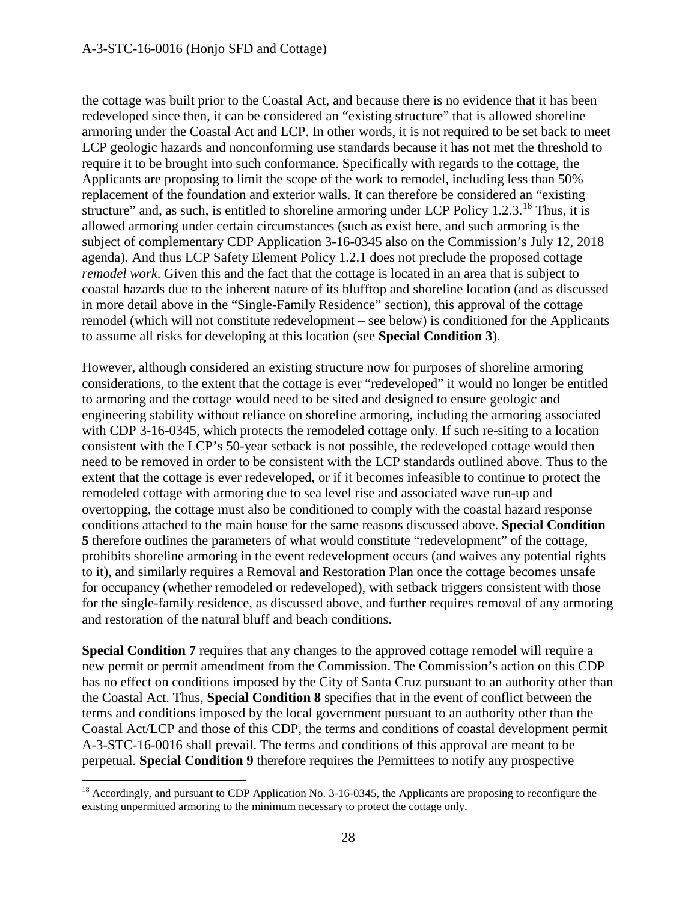the cottage was built prior to the Coastal Act, and because there is no evidence that it has been redeveloped since then, it can be considered an "existing structure" that is allowed shoreline armoring under the Coastal Act and LCP. In other words, it is not required to be set back to meet LCP geologic hazards and nonconforming use standards because it has not met the threshold to require it to be brought into such conformance. Specifically with regards to the cottage, the Applicants are proposing to limit the scope of the work to remodel, including less than 50% replacement of the foundation and exterior walls. It can therefore be considered an "existing structure" and, as such, is entitled to shoreline armoring under LCP Policy 1.2.3.<sup>18</sup> Thus, it is allowed armoring under certain circumstances (such as exist here, and such armoring is the subject of complementary CDP Application 3-16-0345 also on the Commission's July 12, 2018 agenda). And thus LCP Safety Element Policy 1.2.1 does not preclude the proposed cottage *remodel work*. Given this and the fact that the cottage is located in an area that is subject to coastal hazards due to the inherent nature of its blufftop and shoreline location (and as discussed in more detail above in the "Single-Family Residence" section), this approval of the cottage remodel (which will not constitute redevelopment – see below) is conditioned for the Applicants to assume all risks for developing at this location (see **Special Condition 3**).

However, although considered an existing structure now for purposes of shoreline armoring considerations, to the extent that the cottage is ever "redeveloped" it would no longer be entitled to armoring and the cottage would need to be sited and designed to ensure geologic and engineering stability without reliance on shoreline armoring, including the armoring associated with CDP 3-16-0345, which protects the remodeled cottage only. If such re-siting to a location consistent with the LCP's 50-year setback is not possible, the redeveloped cottage would then need to be removed in order to be consistent with the LCP standards outlined above. Thus to the extent that the cottage is ever redeveloped, or if it becomes infeasible to continue to protect the remodeled cottage with armoring due to sea level rise and associated wave run-up and overtopping, the cottage must also be conditioned to comply with the coastal hazard response conditions attached to the main house for the same reasons discussed above. **Special Condition 5** therefore outlines the parameters of what would constitute "redevelopment" of the cottage, prohibits shoreline armoring in the event redevelopment occurs (and waives any potential rights to it), and similarly requires a Removal and Restoration Plan once the cottage becomes unsafe for occupancy (whether remodeled or redeveloped), with setback triggers consistent with those for the single-family residence, as discussed above, and further requires removal of any armoring and restoration of the natural bluff and beach conditions.

**Special Condition 7** requires that any changes to the approved cottage remodel will require a new permit or permit amendment from the Commission. The Commission's action on this CDP has no effect on conditions imposed by the City of Santa Cruz pursuant to an authority other than the Coastal Act. Thus, **Special Condition 8** specifies that in the event of conflict between the terms and conditions imposed by the local government pursuant to an authority other than the Coastal Act/LCP and those of this CDP, the terms and conditions of coastal development permit A-3-STC-16-0016 shall prevail. The terms and conditions of this approval are meant to be perpetual. **Special Condition 9** therefore requires the Permittees to notify any prospective

 $\overline{a}$ 

<span id="page-27-0"></span><sup>&</sup>lt;sup>18</sup> Accordingly, and pursuant to CDP Application No. 3-16-0345, the Applicants are proposing to reconfigure the existing unpermitted armoring to the minimum necessary to protect the cottage only.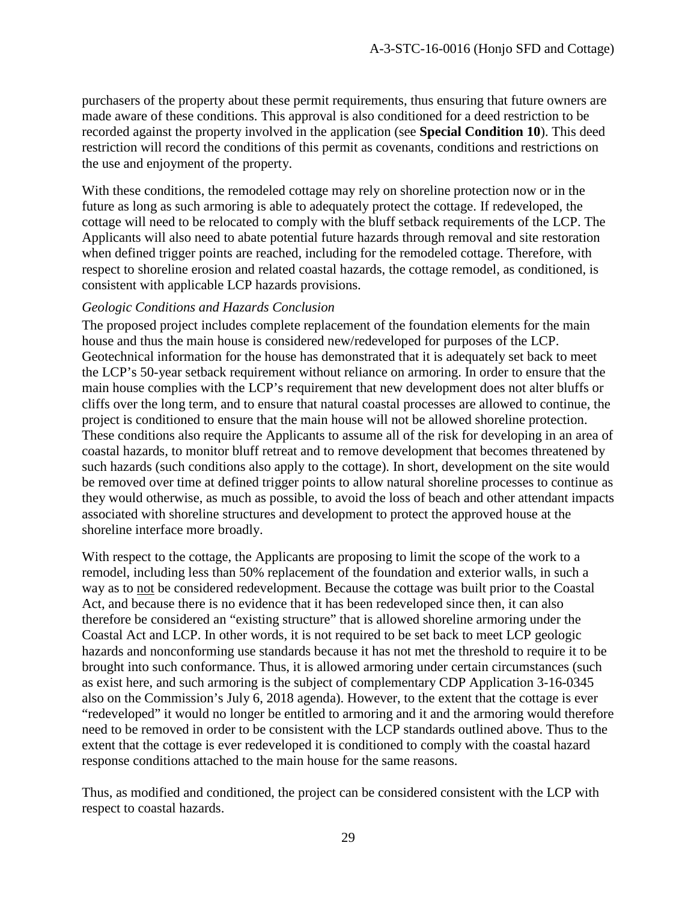purchasers of the property about these permit requirements, thus ensuring that future owners are made aware of these conditions. This approval is also conditioned for a deed restriction to be recorded against the property involved in the application (see **Special Condition 10**). This deed restriction will record the conditions of this permit as covenants, conditions and restrictions on the use and enjoyment of the property.

With these conditions, the remodeled cottage may rely on shoreline protection now or in the future as long as such armoring is able to adequately protect the cottage. If redeveloped, the cottage will need to be relocated to comply with the bluff setback requirements of the LCP. The Applicants will also need to abate potential future hazards through removal and site restoration when defined trigger points are reached, including for the remodeled cottage. Therefore, with respect to shoreline erosion and related coastal hazards, the cottage remodel, as conditioned, is consistent with applicable LCP hazards provisions.

#### *Geologic Conditions and Hazards Conclusion*

The proposed project includes complete replacement of the foundation elements for the main house and thus the main house is considered new/redeveloped for purposes of the LCP. Geotechnical information for the house has demonstrated that it is adequately set back to meet the LCP's 50-year setback requirement without reliance on armoring. In order to ensure that the main house complies with the LCP's requirement that new development does not alter bluffs or cliffs over the long term, and to ensure that natural coastal processes are allowed to continue, the project is conditioned to ensure that the main house will not be allowed shoreline protection. These conditions also require the Applicants to assume all of the risk for developing in an area of coastal hazards, to monitor bluff retreat and to remove development that becomes threatened by such hazards (such conditions also apply to the cottage). In short, development on the site would be removed over time at defined trigger points to allow natural shoreline processes to continue as they would otherwise, as much as possible, to avoid the loss of beach and other attendant impacts associated with shoreline structures and development to protect the approved house at the shoreline interface more broadly.

With respect to the cottage, the Applicants are proposing to limit the scope of the work to a remodel, including less than 50% replacement of the foundation and exterior walls, in such a way as to not be considered redevelopment. Because the cottage was built prior to the Coastal Act, and because there is no evidence that it has been redeveloped since then, it can also therefore be considered an "existing structure" that is allowed shoreline armoring under the Coastal Act and LCP. In other words, it is not required to be set back to meet LCP geologic hazards and nonconforming use standards because it has not met the threshold to require it to be brought into such conformance. Thus, it is allowed armoring under certain circumstances (such as exist here, and such armoring is the subject of complementary CDP Application 3-16-0345 also on the Commission's July 6, 2018 agenda). However, to the extent that the cottage is ever "redeveloped" it would no longer be entitled to armoring and it and the armoring would therefore need to be removed in order to be consistent with the LCP standards outlined above. Thus to the extent that the cottage is ever redeveloped it is conditioned to comply with the coastal hazard response conditions attached to the main house for the same reasons.

Thus, as modified and conditioned, the project can be considered consistent with the LCP with respect to coastal hazards.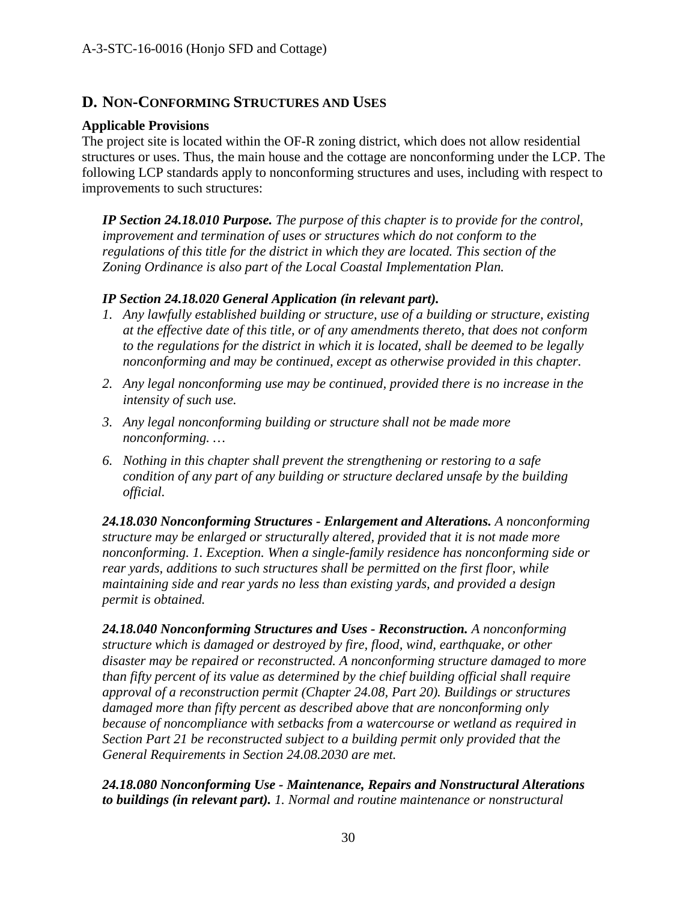# **D. NON-CONFORMING STRUCTURES AND USES**

#### **Applicable Provisions**

The project site is located within the OF-R zoning district, which does not allow residential structures or uses. Thus, the main house and the cottage are nonconforming under the LCP. The following LCP standards apply to nonconforming structures and uses, including with respect to improvements to such structures:

*IP Section 24.18.010 Purpose. The purpose of this chapter is to provide for the control, improvement and termination of uses or structures which do not conform to the regulations of this title for the district in which they are located. This section of the Zoning Ordinance is also part of the Local Coastal Implementation Plan.*

#### *IP Section 24.18.020 General Application (in relevant part).*

- *1. Any lawfully established building or structure, use of a building or structure, existing at the effective date of this title, or of any amendments thereto, that does not conform to the regulations for the district in which it is located, shall be deemed to be legally nonconforming and may be continued, except as otherwise provided in this chapter.*
- *2. Any legal nonconforming use may be continued, provided there is no increase in the intensity of such use.*
- *3. Any legal nonconforming building or structure shall not be made more nonconforming. …*
- *6. Nothing in this chapter shall prevent the strengthening or restoring to a safe condition of any part of any building or structure declared unsafe by the building official.*

*24.18.030 Nonconforming Structures - Enlargement and Alterations. A nonconforming structure may be enlarged or structurally altered, provided that it is not made more nonconforming. 1. Exception. When a single-family residence has nonconforming side or rear yards, additions to such structures shall be permitted on the first floor, while maintaining side and rear yards no less than existing yards, and provided a design permit is obtained.*

*24.18.040 Nonconforming Structures and Uses - Reconstruction. A nonconforming structure which is damaged or destroyed by fire, flood, wind, earthquake, or other disaster may be repaired or reconstructed. A nonconforming structure damaged to more than fifty percent of its value as determined by the chief building official shall require approval of a reconstruction permit (Chapter 24.08, Part 20). Buildings or structures damaged more than fifty percent as described above that are nonconforming only because of noncompliance with setbacks from a watercourse or wetland as required in Section Part 21 be reconstructed subject to a building permit only provided that the General Requirements in Section 24.08.2030 are met.* 

*24.18.080 Nonconforming Use - Maintenance, Repairs and Nonstructural Alterations to buildings (in relevant part). 1. Normal and routine maintenance or nonstructural*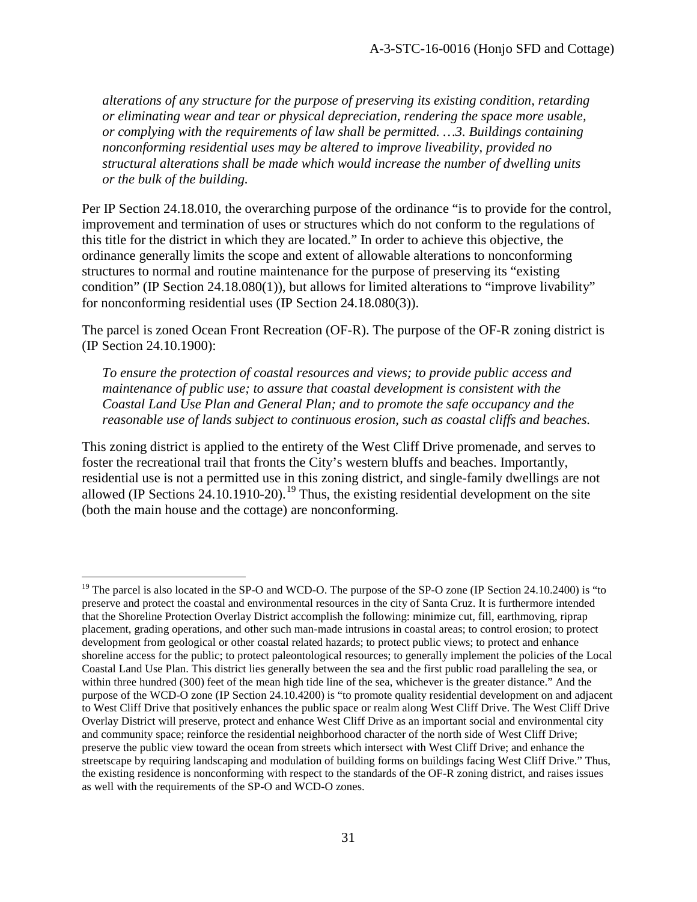*alterations of any structure for the purpose of preserving its existing condition, retarding or eliminating wear and tear or physical depreciation, rendering the space more usable, or complying with the requirements of law shall be permitted. …3. Buildings containing nonconforming residential uses may be altered to improve liveability, provided no structural alterations shall be made which would increase the number of dwelling units or the bulk of the building.* 

Per IP Section 24.18.010, the overarching purpose of the ordinance "is to provide for the control, improvement and termination of uses or structures which do not conform to the regulations of this title for the district in which they are located." In order to achieve this objective, the ordinance generally limits the scope and extent of allowable alterations to nonconforming structures to normal and routine maintenance for the purpose of preserving its "existing condition" (IP Section 24.18.080(1)), but allows for limited alterations to "improve livability" for nonconforming residential uses (IP Section 24.18.080(3)).

The parcel is zoned Ocean Front Recreation (OF-R). The purpose of the OF-R zoning district is (IP Section 24.10.1900):

*To ensure the protection of coastal resources and views; to provide public access and maintenance of public use; to assure that coastal development is consistent with the Coastal Land Use Plan and General Plan; and to promote the safe occupancy and the reasonable use of lands subject to continuous erosion, such as coastal cliffs and beaches.* 

This zoning district is applied to the entirety of the West Cliff Drive promenade, and serves to foster the recreational trail that fronts the City's western bluffs and beaches. Importantly, residential use is not a permitted use in this zoning district, and single-family dwellings are not allowed (IP Sections  $24.10.1910-20$  $24.10.1910-20$  $24.10.1910-20$ ).<sup>19</sup> Thus, the existing residential development on the site (both the main house and the cottage) are nonconforming.

<span id="page-30-0"></span> $\overline{a}$ <sup>19</sup> The parcel is also located in the SP-O and WCD-O. The purpose of the SP-O zone (IP Section 24.10.2400) is "to preserve and protect the coastal and environmental resources in the city of Santa Cruz. It is furthermore intended that the Shoreline Protection Overlay District accomplish the following: minimize cut, fill, earthmoving, riprap placement, grading operations, and other such man-made intrusions in coastal areas; to control erosion; to protect development from geological or other coastal related hazards; to protect public views; to protect and enhance shoreline access for the public; to protect paleontological resources; to generally implement the policies of the Local Coastal Land Use Plan. This district lies generally between the sea and the first public road paralleling the sea, or within three hundred (300) feet of the mean high tide line of the sea, whichever is the greater distance." And the purpose of the WCD-O zone (IP Section 24.10.4200) is "to promote quality residential development on and adjacent to West Cliff Drive that positively enhances the public space or realm along West Cliff Drive. The West Cliff Drive Overlay District will preserve, protect and enhance West Cliff Drive as an important social and environmental city and community space; reinforce the residential neighborhood character of the north side of West Cliff Drive; preserve the public view toward the ocean from streets which intersect with West Cliff Drive; and enhance the streetscape by requiring landscaping and modulation of building forms on buildings facing West Cliff Drive." Thus, the existing residence is nonconforming with respect to the standards of the OF-R zoning district, and raises issues as well with the requirements of the SP-O and WCD-O zones.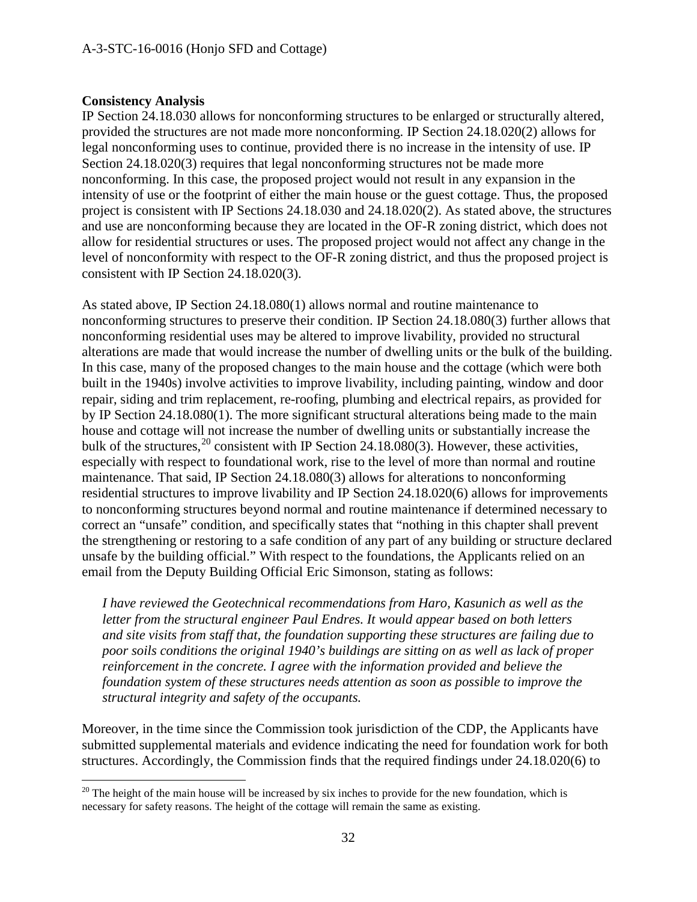#### **Consistency Analysis**

IP Section 24.18.030 allows for nonconforming structures to be enlarged or structurally altered, provided the structures are not made more nonconforming. IP Section 24.18.020(2) allows for legal nonconforming uses to continue, provided there is no increase in the intensity of use. IP Section 24.18.020(3) requires that legal nonconforming structures not be made more nonconforming. In this case, the proposed project would not result in any expansion in the intensity of use or the footprint of either the main house or the guest cottage. Thus, the proposed project is consistent with IP Sections 24.18.030 and 24.18.020(2). As stated above, the structures and use are nonconforming because they are located in the OF-R zoning district, which does not allow for residential structures or uses. The proposed project would not affect any change in the level of nonconformity with respect to the OF-R zoning district, and thus the proposed project is consistent with IP Section 24.18.020(3).

As stated above, IP Section 24.18.080(1) allows normal and routine maintenance to nonconforming structures to preserve their condition. IP Section 24.18.080(3) further allows that nonconforming residential uses may be altered to improve livability, provided no structural alterations are made that would increase the number of dwelling units or the bulk of the building. In this case, many of the proposed changes to the main house and the cottage (which were both built in the 1940s) involve activities to improve livability, including painting, window and door repair, siding and trim replacement, re-roofing, plumbing and electrical repairs, as provided for by IP Section 24.18.080(1). The more significant structural alterations being made to the main house and cottage will not increase the number of dwelling units or substantially increase the bulk of the structures,<sup>[20](#page-31-0)</sup> consistent with IP Section 24.18.080(3). However, these activities, especially with respect to foundational work, rise to the level of more than normal and routine maintenance. That said, IP Section 24.18.080(3) allows for alterations to nonconforming residential structures to improve livability and IP Section 24.18.020(6) allows for improvements to nonconforming structures beyond normal and routine maintenance if determined necessary to correct an "unsafe" condition, and specifically states that "nothing in this chapter shall prevent the strengthening or restoring to a safe condition of any part of any building or structure declared unsafe by the building official." With respect to the foundations, the Applicants relied on an email from the Deputy Building Official Eric Simonson, stating as follows:

*I have reviewed the Geotechnical recommendations from Haro, Kasunich as well as the letter from the structural engineer Paul Endres. It would appear based on both letters and site visits from staff that, the foundation supporting these structures are failing due to poor soils conditions the original 1940's buildings are sitting on as well as lack of proper reinforcement in the concrete. I agree with the information provided and believe the foundation system of these structures needs attention as soon as possible to improve the structural integrity and safety of the occupants.* 

Moreover, in the time since the Commission took jurisdiction of the CDP, the Applicants have submitted supplemental materials and evidence indicating the need for foundation work for both structures. Accordingly, the Commission finds that the required findings under 24.18.020(6) to

<span id="page-31-0"></span> $\overline{a}$  $^{20}$  The height of the main house will be increased by six inches to provide for the new foundation, which is necessary for safety reasons. The height of the cottage will remain the same as existing.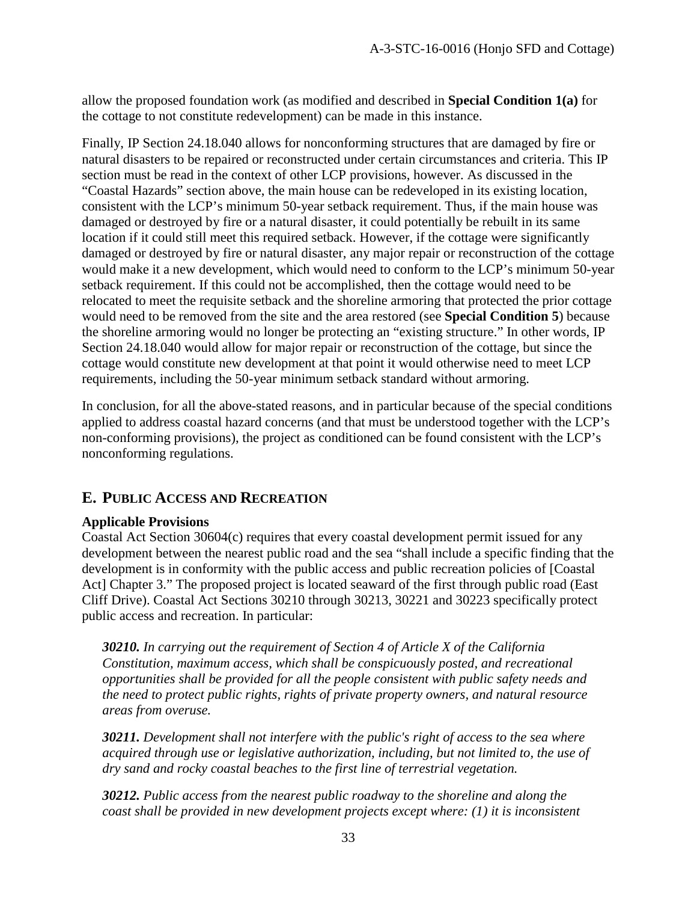allow the proposed foundation work (as modified and described in **Special Condition 1(a)** for the cottage to not constitute redevelopment) can be made in this instance.

Finally, IP Section 24.18.040 allows for nonconforming structures that are damaged by fire or natural disasters to be repaired or reconstructed under certain circumstances and criteria. This IP section must be read in the context of other LCP provisions, however. As discussed in the "Coastal Hazards" section above, the main house can be redeveloped in its existing location, consistent with the LCP's minimum 50-year setback requirement. Thus, if the main house was damaged or destroyed by fire or a natural disaster, it could potentially be rebuilt in its same location if it could still meet this required setback. However, if the cottage were significantly damaged or destroyed by fire or natural disaster, any major repair or reconstruction of the cottage would make it a new development, which would need to conform to the LCP's minimum 50-year setback requirement. If this could not be accomplished, then the cottage would need to be relocated to meet the requisite setback and the shoreline armoring that protected the prior cottage would need to be removed from the site and the area restored (see **Special Condition 5**) because the shoreline armoring would no longer be protecting an "existing structure." In other words, IP Section 24.18.040 would allow for major repair or reconstruction of the cottage, but since the cottage would constitute new development at that point it would otherwise need to meet LCP requirements, including the 50-year minimum setback standard without armoring.

In conclusion, for all the above-stated reasons, and in particular because of the special conditions applied to address coastal hazard concerns (and that must be understood together with the LCP's non-conforming provisions), the project as conditioned can be found consistent with the LCP's nonconforming regulations.

# **E. PUBLIC ACCESS AND RECREATION**

#### **Applicable Provisions**

Coastal Act Section 30604(c) requires that every coastal development permit issued for any development between the nearest public road and the sea "shall include a specific finding that the development is in conformity with the public access and public recreation policies of [Coastal Act] Chapter 3." The proposed project is located seaward of the first through public road (East Cliff Drive). Coastal Act Sections 30210 through 30213, 30221 and 30223 specifically protect public access and recreation. In particular:

*30210. In carrying out the requirement of Section 4 of Article X of the California Constitution, maximum access, which shall be conspicuously posted, and recreational opportunities shall be provided for all the people consistent with public safety needs and the need to protect public rights, rights of private property owners, and natural resource areas from overuse.* 

*30211. Development shall not interfere with the public's right of access to the sea where acquired through use or legislative authorization, including, but not limited to, the use of dry sand and rocky coastal beaches to the first line of terrestrial vegetation.* 

*30212. Public access from the nearest public roadway to the shoreline and along the coast shall be provided in new development projects except where: (1) it is inconsistent*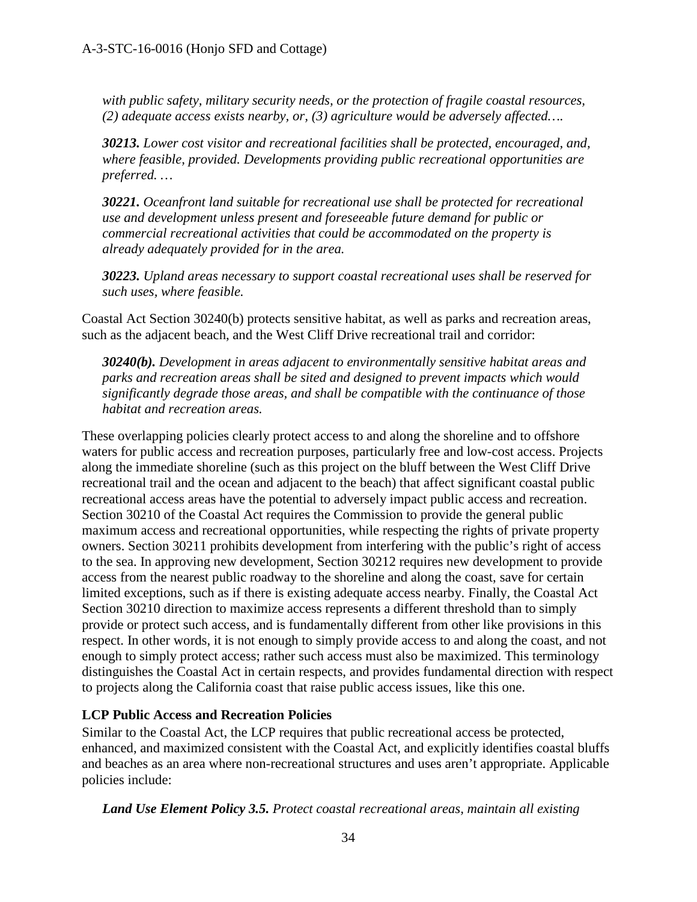*with public safety, military security needs, or the protection of fragile coastal resources, (2) adequate access exists nearby, or, (3) agriculture would be adversely affected….*

*30213. Lower cost visitor and recreational facilities shall be protected, encouraged, and, where feasible, provided. Developments providing public recreational opportunities are preferred. …*

*30221. Oceanfront land suitable for recreational use shall be protected for recreational use and development unless present and foreseeable future demand for public or commercial recreational activities that could be accommodated on the property is already adequately provided for in the area.* 

*30223. Upland areas necessary to support coastal recreational uses shall be reserved for such uses, where feasible.* 

Coastal Act Section 30240(b) protects sensitive habitat, as well as parks and recreation areas, such as the adjacent beach, and the West Cliff Drive recreational trail and corridor:

*30240(b). Development in areas adjacent to environmentally sensitive habitat areas and parks and recreation areas shall be sited and designed to prevent impacts which would significantly degrade those areas, and shall be compatible with the continuance of those habitat and recreation areas.*

These overlapping policies clearly protect access to and along the shoreline and to offshore waters for public access and recreation purposes, particularly free and low-cost access. Projects along the immediate shoreline (such as this project on the bluff between the West Cliff Drive recreational trail and the ocean and adjacent to the beach) that affect significant coastal public recreational access areas have the potential to adversely impact public access and recreation. Section 30210 of the Coastal Act requires the Commission to provide the general public maximum access and recreational opportunities, while respecting the rights of private property owners. Section 30211 prohibits development from interfering with the public's right of access to the sea. In approving new development, Section 30212 requires new development to provide access from the nearest public roadway to the shoreline and along the coast, save for certain limited exceptions, such as if there is existing adequate access nearby. Finally, the Coastal Act Section 30210 direction to maximize access represents a different threshold than to simply provide or protect such access, and is fundamentally different from other like provisions in this respect. In other words, it is not enough to simply provide access to and along the coast, and not enough to simply protect access; rather such access must also be maximized. This terminology distinguishes the Coastal Act in certain respects, and provides fundamental direction with respect to projects along the California coast that raise public access issues, like this one.

### **LCP Public Access and Recreation Policies**

Similar to the Coastal Act, the LCP requires that public recreational access be protected, enhanced, and maximized consistent with the Coastal Act, and explicitly identifies coastal bluffs and beaches as an area where non-recreational structures and uses aren't appropriate. Applicable policies include:

*Land Use Element Policy 3.5. Protect coastal recreational areas, maintain all existing*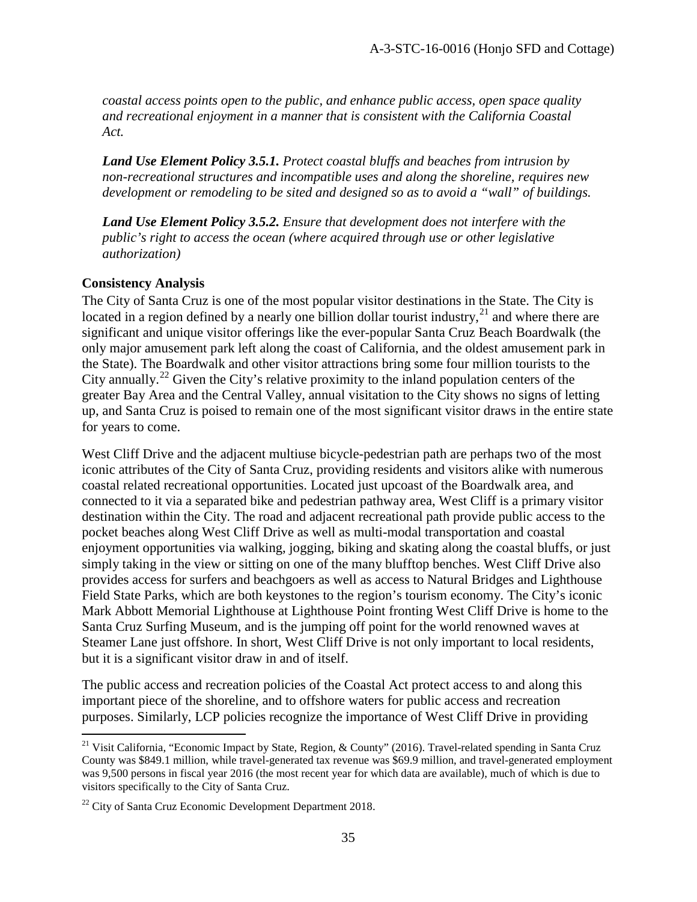*coastal access points open to the public, and enhance public access, open space quality and recreational enjoyment in a manner that is consistent with the California Coastal Act.*

*Land Use Element Policy 3.5.1. Protect coastal bluffs and beaches from intrusion by non-recreational structures and incompatible uses and along the shoreline, requires new development or remodeling to be sited and designed so as to avoid a "wall" of buildings.* 

*Land Use Element Policy 3.5.2. Ensure that development does not interfere with the public's right to access the ocean (where acquired through use or other legislative authorization)* 

#### **Consistency Analysis**

The City of Santa Cruz is one of the most popular visitor destinations in the State. The City is located in a region defined by a nearly one billion dollar tourist industry,  $2^{1}$  and where there are significant and unique visitor offerings like the ever-popular Santa Cruz Beach Boardwalk (the only major amusement park left along the coast of California, and the oldest amusement park in the State). The Boardwalk and other visitor attractions bring some four million tourists to the City annually.<sup>22</sup> Given the City's relative proximity to the inland population centers of the greater Bay Area and the Central Valley, annual visitation to the City shows no signs of letting up, and Santa Cruz is poised to remain one of the most significant visitor draws in the entire state for years to come.

West Cliff Drive and the adjacent multiuse bicycle-pedestrian path are perhaps two of the most iconic attributes of the City of Santa Cruz, providing residents and visitors alike with numerous coastal related recreational opportunities. Located just upcoast of the Boardwalk area, and connected to it via a separated bike and pedestrian pathway area, West Cliff is a primary visitor destination within the City. The road and adjacent recreational path provide public access to the pocket beaches along West Cliff Drive as well as multi-modal transportation and coastal enjoyment opportunities via walking, jogging, biking and skating along the coastal bluffs, or just simply taking in the view or sitting on one of the many blufftop benches. West Cliff Drive also provides access for surfers and beachgoers as well as access to Natural Bridges and Lighthouse Field State Parks, which are both keystones to the region's tourism economy. The City's iconic Mark Abbott Memorial Lighthouse at Lighthouse Point fronting West Cliff Drive is home to the Santa Cruz Surfing Museum, and is the jumping off point for the world renowned waves at Steamer Lane just offshore. In short, West Cliff Drive is not only important to local residents, but it is a significant visitor draw in and of itself.

The public access and recreation policies of the Coastal Act protect access to and along this important piece of the shoreline, and to offshore waters for public access and recreation purposes. Similarly, LCP policies recognize the importance of West Cliff Drive in providing

<span id="page-34-0"></span> $\overline{a}$ <sup>21</sup> Visit California, "Economic Impact by State, Region, & County" (2016). Travel-related spending in Santa Cruz County was \$849.1 million, while travel-generated tax revenue was \$69.9 million, and travel-generated employment was 9,500 persons in fiscal year 2016 (the most recent year for which data are available), much of which is due to visitors specifically to the City of Santa Cruz.

<span id="page-34-1"></span> $22$  City of Santa Cruz Economic Development Department 2018.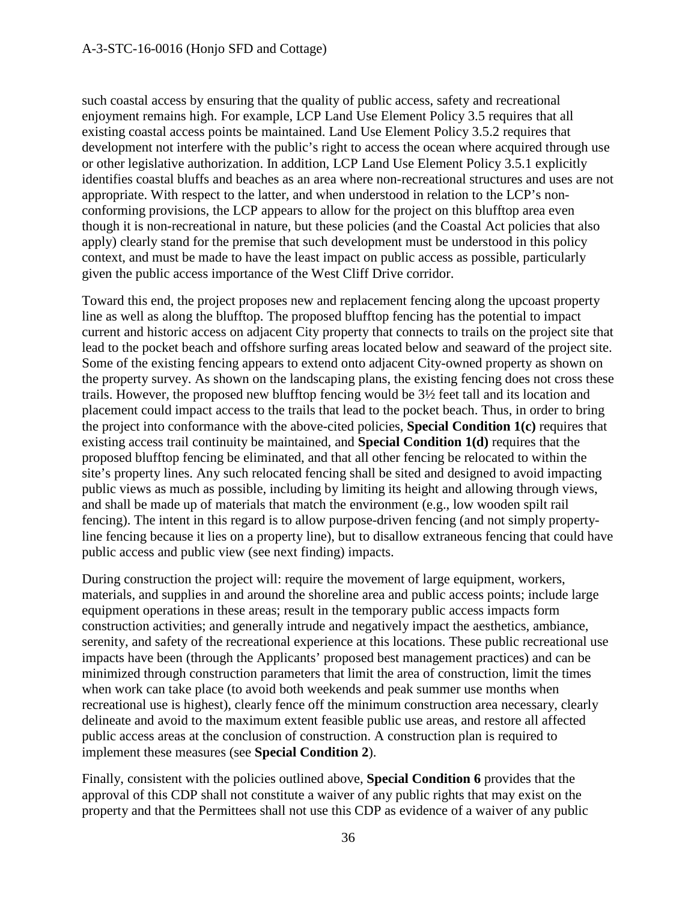such coastal access by ensuring that the quality of public access, safety and recreational enjoyment remains high. For example, LCP Land Use Element Policy 3.5 requires that all existing coastal access points be maintained. Land Use Element Policy 3.5.2 requires that development not interfere with the public's right to access the ocean where acquired through use or other legislative authorization. In addition, LCP Land Use Element Policy 3.5.1 explicitly identifies coastal bluffs and beaches as an area where non-recreational structures and uses are not appropriate. With respect to the latter, and when understood in relation to the LCP's nonconforming provisions, the LCP appears to allow for the project on this blufftop area even though it is non-recreational in nature, but these policies (and the Coastal Act policies that also apply) clearly stand for the premise that such development must be understood in this policy context, and must be made to have the least impact on public access as possible, particularly given the public access importance of the West Cliff Drive corridor.

Toward this end, the project proposes new and replacement fencing along the upcoast property line as well as along the blufftop. The proposed blufftop fencing has the potential to impact current and historic access on adjacent City property that connects to trails on the project site that lead to the pocket beach and offshore surfing areas located below and seaward of the project site. Some of the existing fencing appears to extend onto adjacent City-owned property as shown on the property survey. As shown on the landscaping plans, the existing fencing does not cross these trails. However, the proposed new blufftop fencing would be 3½ feet tall and its location and placement could impact access to the trails that lead to the pocket beach. Thus, in order to bring the project into conformance with the above-cited policies, **Special Condition 1(c)** requires that existing access trail continuity be maintained, and **Special Condition 1(d)** requires that the proposed blufftop fencing be eliminated, and that all other fencing be relocated to within the site's property lines. Any such relocated fencing shall be sited and designed to avoid impacting public views as much as possible, including by limiting its height and allowing through views, and shall be made up of materials that match the environment (e.g., low wooden spilt rail fencing). The intent in this regard is to allow purpose-driven fencing (and not simply propertyline fencing because it lies on a property line), but to disallow extraneous fencing that could have public access and public view (see next finding) impacts.

During construction the project will: require the movement of large equipment, workers, materials, and supplies in and around the shoreline area and public access points; include large equipment operations in these areas; result in the temporary public access impacts form construction activities; and generally intrude and negatively impact the aesthetics, ambiance, serenity, and safety of the recreational experience at this locations. These public recreational use impacts have been (through the Applicants' proposed best management practices) and can be minimized through construction parameters that limit the area of construction, limit the times when work can take place (to avoid both weekends and peak summer use months when recreational use is highest), clearly fence off the minimum construction area necessary, clearly delineate and avoid to the maximum extent feasible public use areas, and restore all affected public access areas at the conclusion of construction. A construction plan is required to implement these measures (see **Special Condition 2**).

Finally, consistent with the policies outlined above, **Special Condition 6** provides that the approval of this CDP shall not constitute a waiver of any public rights that may exist on the property and that the Permittees shall not use this CDP as evidence of a waiver of any public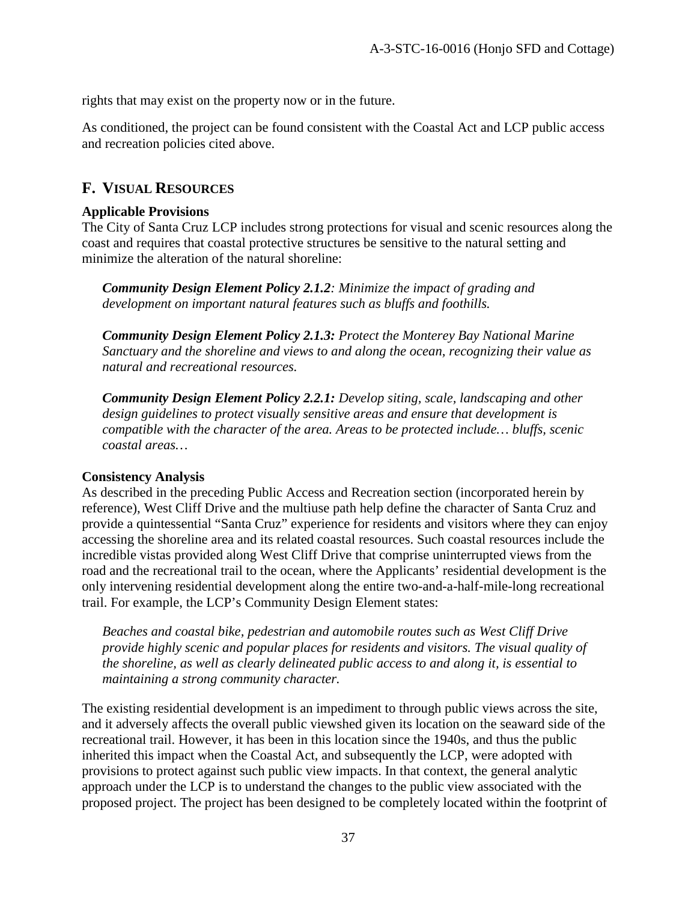rights that may exist on the property now or in the future.

As conditioned, the project can be found consistent with the Coastal Act and LCP public access and recreation policies cited above.

### **F. VISUAL RESOURCES**

#### **Applicable Provisions**

The City of Santa Cruz LCP includes strong protections for visual and scenic resources along the coast and requires that coastal protective structures be sensitive to the natural setting and minimize the alteration of the natural shoreline:

*Community Design Element Policy 2.1.2: Minimize the impact of grading and development on important natural features such as bluffs and foothills.* 

*Community Design Element Policy 2.1.3: Protect the Monterey Bay National Marine Sanctuary and the shoreline and views to and along the ocean, recognizing their value as natural and recreational resources.*

*Community Design Element Policy 2.2.1: Develop siting, scale, landscaping and other design guidelines to protect visually sensitive areas and ensure that development is compatible with the character of the area. Areas to be protected include… bluffs, scenic coastal areas…* 

#### **Consistency Analysis**

As described in the preceding Public Access and Recreation section (incorporated herein by reference), West Cliff Drive and the multiuse path help define the character of Santa Cruz and provide a quintessential "Santa Cruz" experience for residents and visitors where they can enjoy accessing the shoreline area and its related coastal resources. Such coastal resources include the incredible vistas provided along West Cliff Drive that comprise uninterrupted views from the road and the recreational trail to the ocean, where the Applicants' residential development is the only intervening residential development along the entire two-and-a-half-mile-long recreational trail. For example, the LCP's Community Design Element states:

*Beaches and coastal bike, pedestrian and automobile routes such as West Cliff Drive provide highly scenic and popular places for residents and visitors. The visual quality of the shoreline, as well as clearly delineated public access to and along it, is essential to maintaining a strong community character.* 

The existing residential development is an impediment to through public views across the site, and it adversely affects the overall public viewshed given its location on the seaward side of the recreational trail. However, it has been in this location since the 1940s, and thus the public inherited this impact when the Coastal Act, and subsequently the LCP, were adopted with provisions to protect against such public view impacts. In that context, the general analytic approach under the LCP is to understand the changes to the public view associated with the proposed project. The project has been designed to be completely located within the footprint of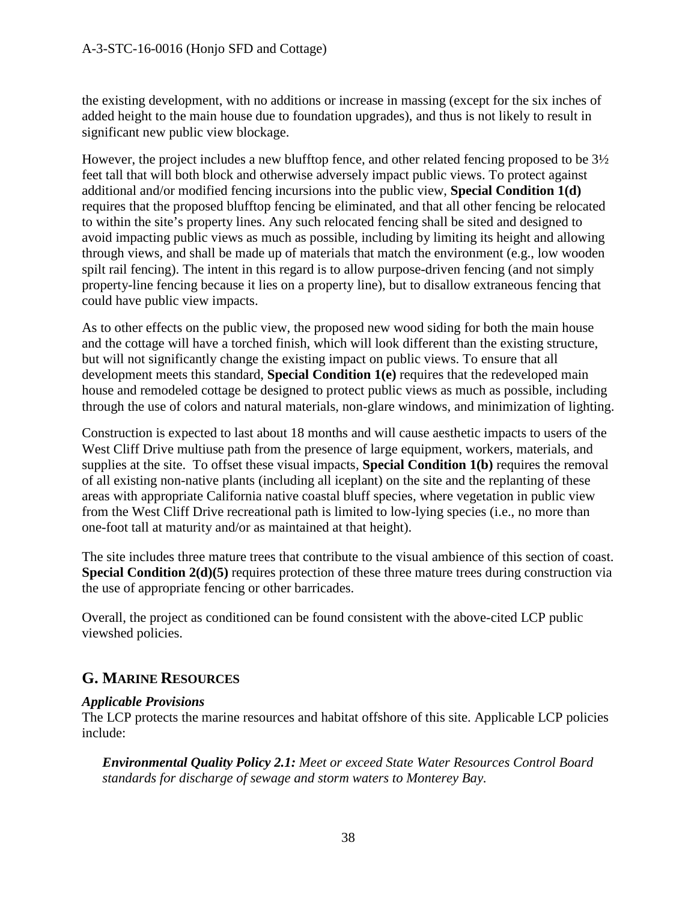the existing development, with no additions or increase in massing (except for the six inches of added height to the main house due to foundation upgrades), and thus is not likely to result in significant new public view blockage.

However, the project includes a new blufftop fence, and other related fencing proposed to be 3½ feet tall that will both block and otherwise adversely impact public views. To protect against additional and/or modified fencing incursions into the public view, **Special Condition 1(d)**  requires that the proposed blufftop fencing be eliminated, and that all other fencing be relocated to within the site's property lines. Any such relocated fencing shall be sited and designed to avoid impacting public views as much as possible, including by limiting its height and allowing through views, and shall be made up of materials that match the environment (e.g., low wooden spilt rail fencing). The intent in this regard is to allow purpose-driven fencing (and not simply property-line fencing because it lies on a property line), but to disallow extraneous fencing that could have public view impacts.

As to other effects on the public view, the proposed new wood siding for both the main house and the cottage will have a torched finish, which will look different than the existing structure, but will not significantly change the existing impact on public views. To ensure that all development meets this standard, **Special Condition 1(e)** requires that the redeveloped main house and remodeled cottage be designed to protect public views as much as possible, including through the use of colors and natural materials, non-glare windows, and minimization of lighting.

Construction is expected to last about 18 months and will cause aesthetic impacts to users of the West Cliff Drive multiuse path from the presence of large equipment, workers, materials, and supplies at the site. To offset these visual impacts, **Special Condition 1(b)** requires the removal of all existing non-native plants (including all iceplant) on the site and the replanting of these areas with appropriate California native coastal bluff species, where vegetation in public view from the West Cliff Drive recreational path is limited to low-lying species (i.e., no more than one-foot tall at maturity and/or as maintained at that height).

The site includes three mature trees that contribute to the visual ambience of this section of coast. **Special Condition 2(d)(5)** requires protection of these three mature trees during construction via the use of appropriate fencing or other barricades.

Overall, the project as conditioned can be found consistent with the above-cited LCP public viewshed policies.

# **G. MARINE RESOURCES**

#### *Applicable Provisions*

The LCP protects the marine resources and habitat offshore of this site. Applicable LCP policies include:

*Environmental Quality Policy 2.1: Meet or exceed State Water Resources Control Board standards for discharge of sewage and storm waters to Monterey Bay.*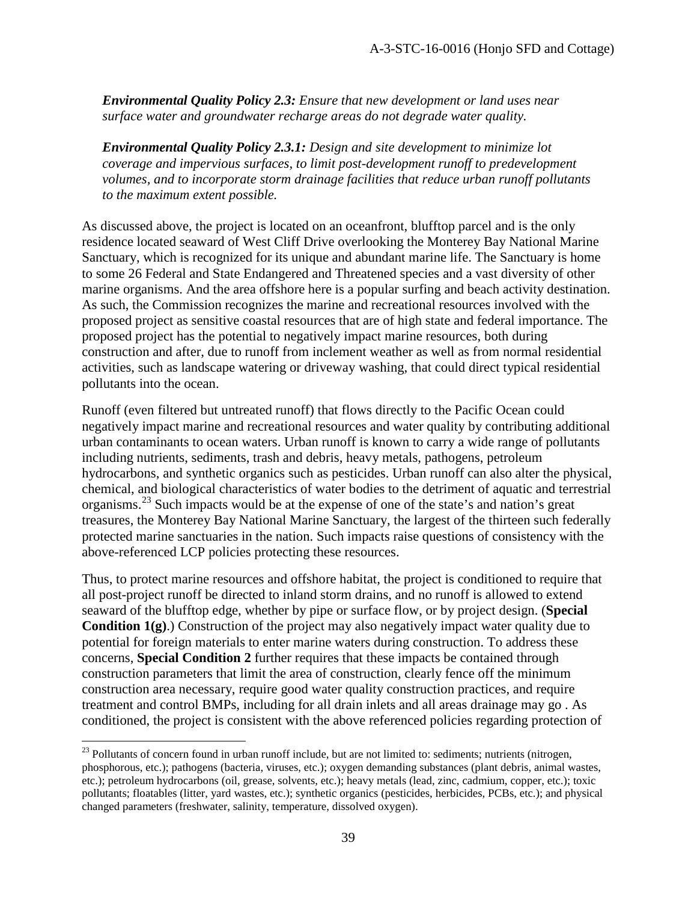*Environmental Quality Policy 2.3: Ensure that new development or land uses near surface water and groundwater recharge areas do not degrade water quality.* 

*Environmental Quality Policy 2.3.1: Design and site development to minimize lot coverage and impervious surfaces, to limit post-development runoff to predevelopment volumes, and to incorporate storm drainage facilities that reduce urban runoff pollutants to the maximum extent possible.* 

As discussed above, the project is located on an oceanfront, blufftop parcel and is the only residence located seaward of West Cliff Drive overlooking the Monterey Bay National Marine Sanctuary, which is recognized for its unique and abundant marine life. The Sanctuary is home to some 26 Federal and State Endangered and Threatened species and a vast diversity of other marine organisms. And the area offshore here is a popular surfing and beach activity destination. As such, the Commission recognizes the marine and recreational resources involved with the proposed project as sensitive coastal resources that are of high state and federal importance. The proposed project has the potential to negatively impact marine resources, both during construction and after, due to runoff from inclement weather as well as from normal residential activities, such as landscape watering or driveway washing, that could direct typical residential pollutants into the ocean.

Runoff (even filtered but untreated runoff) that flows directly to the Pacific Ocean could negatively impact marine and recreational resources and water quality by contributing additional urban contaminants to ocean waters. Urban runoff is known to carry a wide range of pollutants including nutrients, sediments, trash and debris, heavy metals, pathogens, petroleum hydrocarbons, and synthetic organics such as pesticides. Urban runoff can also alter the physical, chemical, and biological characteristics of water bodies to the detriment of aquatic and terrestrial organisms.[23](#page-38-0) Such impacts would be at the expense of one of the state's and nation's great treasures, the Monterey Bay National Marine Sanctuary, the largest of the thirteen such federally protected marine sanctuaries in the nation. Such impacts raise questions of consistency with the above-referenced LCP policies protecting these resources.

Thus, to protect marine resources and offshore habitat, the project is conditioned to require that all post-project runoff be directed to inland storm drains, and no runoff is allowed to extend seaward of the blufftop edge, whether by pipe or surface flow, or by project design. (**Special Condition 1(g)**.) Construction of the project may also negatively impact water quality due to potential for foreign materials to enter marine waters during construction. To address these concerns, **Special Condition 2** further requires that these impacts be contained through construction parameters that limit the area of construction, clearly fence off the minimum construction area necessary, require good water quality construction practices, and require treatment and control BMPs, including for all drain inlets and all areas drainage may go . As conditioned, the project is consistent with the above referenced policies regarding protection of

 $\overline{a}$ 

<span id="page-38-0"></span> $23$  Pollutants of concern found in urban runoff include, but are not limited to: sediments; nutrients (nitrogen, phosphorous, etc.); pathogens (bacteria, viruses, etc.); oxygen demanding substances (plant debris, animal wastes, etc.); petroleum hydrocarbons (oil, grease, solvents, etc.); heavy metals (lead, zinc, cadmium, copper, etc.); toxic pollutants; floatables (litter, yard wastes, etc.); synthetic organics (pesticides, herbicides, PCBs, etc.); and physical changed parameters (freshwater, salinity, temperature, dissolved oxygen).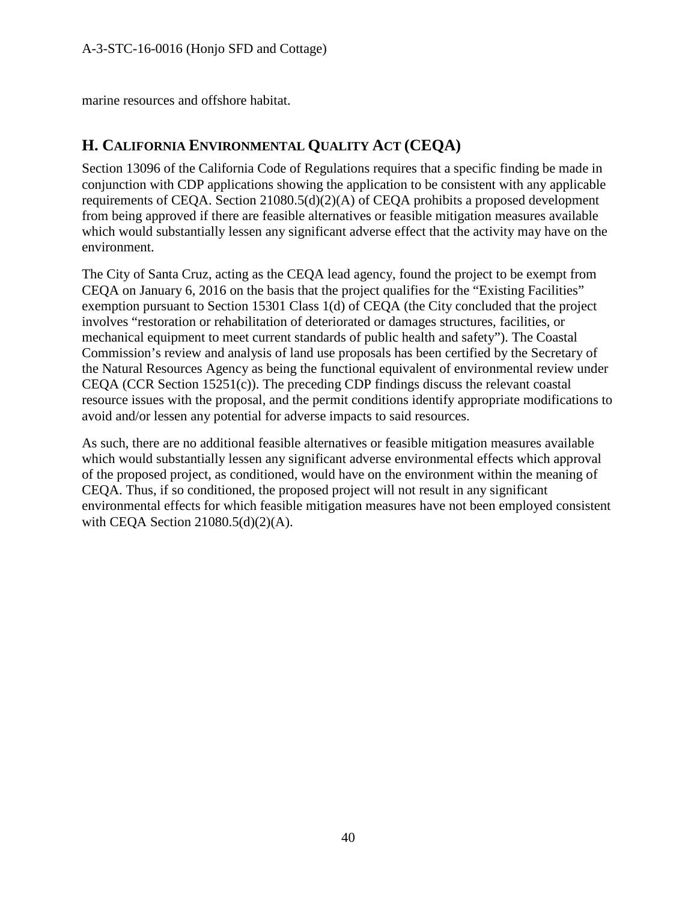marine resources and offshore habitat.

# **H. CALIFORNIA ENVIRONMENTAL QUALITY ACT (CEQA)**

Section 13096 of the California Code of Regulations requires that a specific finding be made in conjunction with CDP applications showing the application to be consistent with any applicable requirements of CEQA. Section 21080.5(d)(2)(A) of CEQA prohibits a proposed development from being approved if there are feasible alternatives or feasible mitigation measures available which would substantially lessen any significant adverse effect that the activity may have on the environment.

The City of Santa Cruz, acting as the CEQA lead agency, found the project to be exempt from CEQA on January 6, 2016 on the basis that the project qualifies for the "Existing Facilities" exemption pursuant to Section 15301 Class 1(d) of CEQA (the City concluded that the project involves "restoration or rehabilitation of deteriorated or damages structures, facilities, or mechanical equipment to meet current standards of public health and safety"). The Coastal Commission's review and analysis of land use proposals has been certified by the Secretary of the Natural Resources Agency as being the functional equivalent of environmental review under CEQA (CCR Section 15251(c)). The preceding CDP findings discuss the relevant coastal resource issues with the proposal, and the permit conditions identify appropriate modifications to avoid and/or lessen any potential for adverse impacts to said resources.

As such, there are no additional feasible alternatives or feasible mitigation measures available which would substantially lessen any significant adverse environmental effects which approval of the proposed project, as conditioned, would have on the environment within the meaning of CEQA. Thus, if so conditioned, the proposed project will not result in any significant environmental effects for which feasible mitigation measures have not been employed consistent with CEQA Section 21080.5(d)(2)(A).